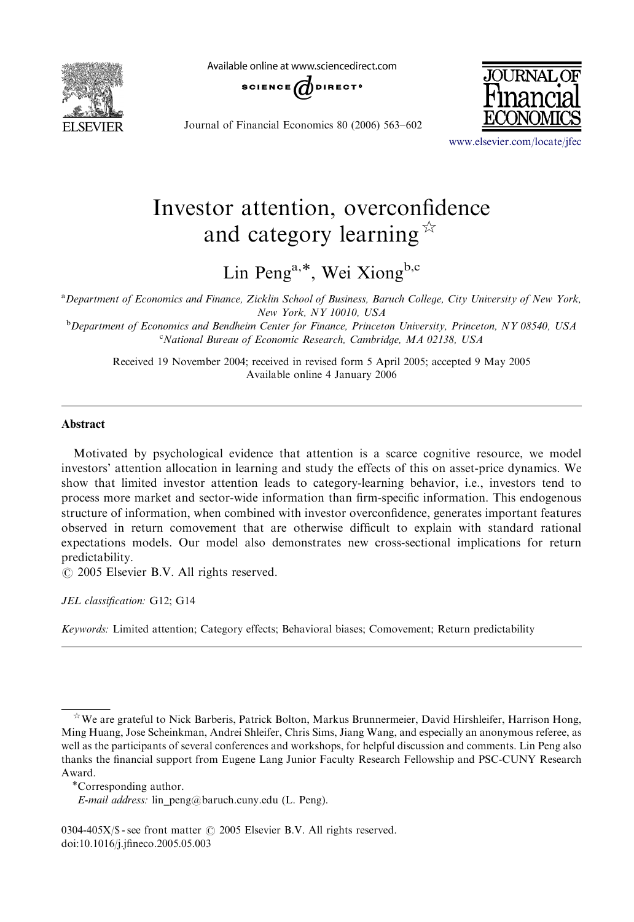

Available online at www.sciencedirect.com





Journal of Financial Economics 80 (2006) 563–602

<www.elsevier.com/locate/jfec>

# Investor attention, overconfidence and category learning  $\overline{x}$

Lin Peng<sup>a,\*</sup>, Wei Xiong<sup>b,c</sup>

<sup>a</sup> Department of Economics and Finance, Zicklin School of Business, Baruch College, City University of New York, New York, NY 10010, USA

<sup>b</sup> Department of Economics and Bendheim Center for Finance, Princeton University, Princeton, NY 08540, USA <sup>c</sup>National Bureau of Economic Research, Cambridge, MA 02138, USA

Received 19 November 2004; received in revised form 5 April 2005; accepted 9 May 2005 Available online 4 January 2006

#### Abstract

Motivated by psychological evidence that attention is a scarce cognitive resource, we model investors' attention allocation in learning and study the effects of this on asset-price dynamics. We show that limited investor attention leads to category-learning behavior, i.e., investors tend to process more market and sector-wide information than firm-specific information. This endogenous structure of information, when combined with investor overconfidence, generates important features observed in return comovement that are otherwise difficult to explain with standard rational expectations models. Our model also demonstrates new cross-sectional implications for return predictability.

 $\odot$  2005 Elsevier B.V. All rights reserved.

JEL classification: G12; G14

Keywords: Limited attention; Category effects; Behavioral biases; Comovement; Return predictability

 $0304-405X/\$  - see front matter  $\odot$  2005 Elsevier B.V. All rights reserved. doi:10.1016/j.jfineco.2005.05.003

 $*$  We are grateful to Nick Barberis, Patrick Bolton, Markus Brunnermeier, David Hirshleifer, Harrison Hong, Ming Huang, Jose Scheinkman, Andrei Shleifer, Chris Sims, Jiang Wang, and especially an anonymous referee, as well as the participants of several conferences and workshops, for helpful discussion and comments. Lin Peng also thanks the financial support from Eugene Lang Junior Faculty Research Fellowship and PSC-CUNY Research Award.<br>\*Corresponding author.

E-mail address: lin\_peng@baruch.cuny.edu (L. Peng).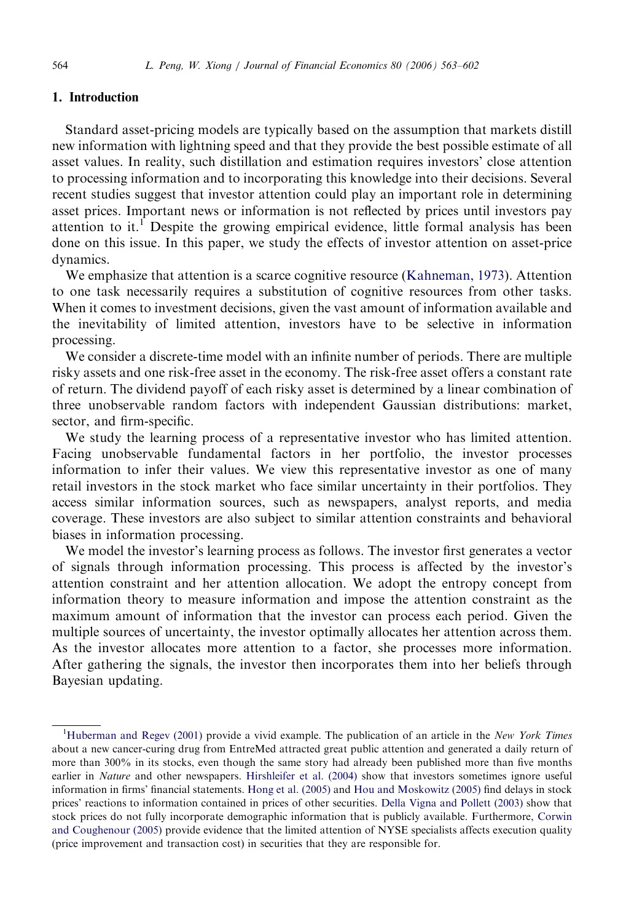## 1. Introduction

Standard asset-pricing models are typically based on the assumption that markets distill new information with lightning speed and that they provide the best possible estimate of all asset values. In reality, such distillation and estimation requires investors' close attention to processing information and to incorporating this knowledge into their decisions. Several recent studies suggest that investor attention could play an important role in determining asset prices. Important news or information is not reflected by prices until investors pay attention to it.<sup>1</sup> Despite the growing empirical evidence, little formal analysis has been done on this issue. In this paper, we study the effects of investor attention on asset-price dynamics.

We emphasize that attention is a scarce cognitive resource ([Kahneman, 1973](#page-38-0)). Attention to one task necessarily requires a substitution of cognitive resources from other tasks. When it comes to investment decisions, given the vast amount of information available and the inevitability of limited attention, investors have to be selective in information processing.

We consider a discrete-time model with an infinite number of periods. There are multiple risky assets and one risk-free asset in the economy. The risk-free asset offers a constant rate of return. The dividend payoff of each risky asset is determined by a linear combination of three unobservable random factors with independent Gaussian distributions: market, sector, and firm-specific.

We study the learning process of a representative investor who has limited attention. Facing unobservable fundamental factors in her portfolio, the investor processes information to infer their values. We view this representative investor as one of many retail investors in the stock market who face similar uncertainty in their portfolios. They access similar information sources, such as newspapers, analyst reports, and media coverage. These investors are also subject to similar attention constraints and behavioral biases in information processing.

We model the investor's learning process as follows. The investor first generates a vector of signals through information processing. This process is affected by the investor's attention constraint and her attention allocation. We adopt the entropy concept from information theory to measure information and impose the attention constraint as the maximum amount of information that the investor can process each period. Given the multiple sources of uncertainty, the investor optimally allocates her attention across them. As the investor allocates more attention to a factor, she processes more information. After gathering the signals, the investor then incorporates them into her beliefs through Bayesian updating.

<sup>&</sup>lt;sup>1</sup>[Huberman and Regev \(2001\)](#page-38-0) provide a vivid example. The publication of an article in the New York Times about a new cancer-curing drug from EntreMed attracted great public attention and generated a daily return of more than 300% in its stocks, even though the same story had already been published more than five months earlier in *Nature* and other newspapers. [Hirshleifer et al. \(2004\)](#page-38-0) show that investors sometimes ignore useful information in firms' financial statements. [Hong et al. \(2005\)](#page-38-0) and [Hou and Moskowitz \(2005\)](#page-38-0) find delays in stock prices' reactions to information contained in prices of other securities. [Della Vigna and Pollett \(2003\)](#page-37-0) show that stock prices do not fully incorporate demographic information that is publicly available. Furthermore, [Corwin](#page-37-0) [and Coughenour \(2005\)](#page-37-0) provide evidence that the limited attention of NYSE specialists affects execution quality (price improvement and transaction cost) in securities that they are responsible for.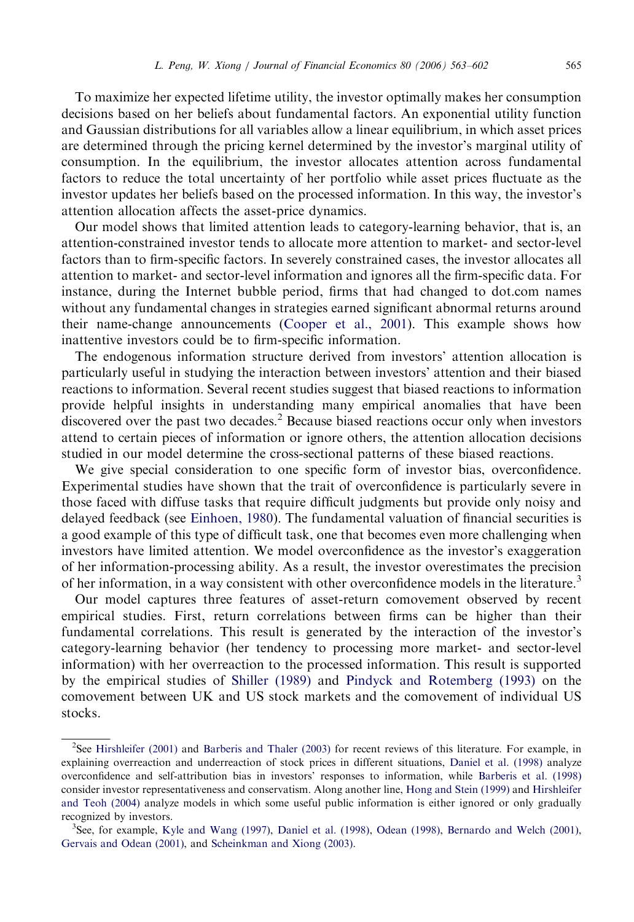To maximize her expected lifetime utility, the investor optimally makes her consumption decisions based on her beliefs about fundamental factors. An exponential utility function and Gaussian distributions for all variables allow a linear equilibrium, in which asset prices are determined through the pricing kernel determined by the investor's marginal utility of consumption. In the equilibrium, the investor allocates attention across fundamental factors to reduce the total uncertainty of her portfolio while asset prices fluctuate as the investor updates her beliefs based on the processed information. In this way, the investor's attention allocation affects the asset-price dynamics.

Our model shows that limited attention leads to category-learning behavior, that is, an attention-constrained investor tends to allocate more attention to market- and sector-level factors than to firm-specific factors. In severely constrained cases, the investor allocates all attention to market- and sector-level information and ignores all the firm-specific data. For instance, during the Internet bubble period, firms that had changed to dot.com names without any fundamental changes in strategies earned significant abnormal returns around their name-change announcements ([Cooper et al., 2001\)](#page-37-0). This example shows how inattentive investors could be to firm-specific information.

The endogenous information structure derived from investors' attention allocation is particularly useful in studying the interaction between investors' attention and their biased reactions to information. Several recent studies suggest that biased reactions to information provide helpful insights in understanding many empirical anomalies that have been discovered over the past two decades.<sup>2</sup> Because biased reactions occur only when investors attend to certain pieces of information or ignore others, the attention allocation decisions studied in our model determine the cross-sectional patterns of these biased reactions.

We give special consideration to one specific form of investor bias, overconfidence. Experimental studies have shown that the trait of overconfidence is particularly severe in those faced with diffuse tasks that require difficult judgments but provide only noisy and delayed feedback (see [Einhoen, 1980\)](#page-37-0). The fundamental valuation of financial securities is a good example of this type of difficult task, one that becomes even more challenging when investors have limited attention. We model overconfidence as the investor's exaggeration of her information-processing ability. As a result, the investor overestimates the precision of her information, in a way consistent with other overconfidence models in the literature.<sup>3</sup>

Our model captures three features of asset-return comovement observed by recent empirical studies. First, return correlations between firms can be higher than their fundamental correlations. This result is generated by the interaction of the investor's category-learning behavior (her tendency to processing more market- and sector-level information) with her overreaction to the processed information. This result is supported by the empirical studies of [Shiller \(1989\)](#page-38-0) and [Pindyck and Rotemberg \(1993\)](#page-38-0) on the comovement between UK and US stock markets and the comovement of individual US stocks.

<sup>&</sup>lt;sup>2</sup>See [Hirshleifer \(2001\)](#page-38-0) and [Barberis and Thaler \(2003\)](#page-37-0) for recent reviews of this literature. For example, in explaining overreaction and underreaction of stock prices in different situations, [Daniel et al. \(1998\)](#page-37-0) analyze overconfidence and self-attribution bias in investors' responses to information, while [Barberis et al. \(1998\)](#page-37-0) consider investor representativeness and conservatism. Along another line, [Hong and Stein \(1999\)](#page-38-0) and [Hirshleifer](#page-38-0) [and Teoh \(2004\)](#page-38-0) analyze models in which some useful public information is either ignored or only gradually recognized by investors.

See, for example, [Kyle and Wang \(1997\),](#page-38-0) [Daniel et al. \(1998\),](#page-37-0) [Odean \(1998\),](#page-38-0) [Bernardo and Welch \(2001\)](#page-37-0), [Gervais and Odean \(2001\),](#page-38-0) and [Scheinkman and Xiong \(2003\).](#page-38-0)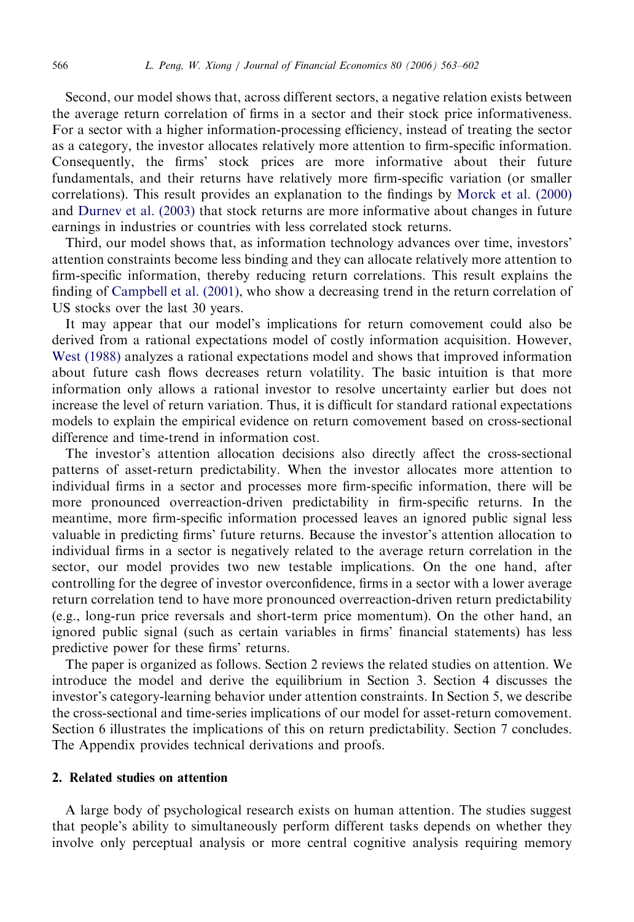Second, our model shows that, across different sectors, a negative relation exists between the average return correlation of firms in a sector and their stock price informativeness. For a sector with a higher information-processing efficiency, instead of treating the sector as a category, the investor allocates relatively more attention to firm-specific information. Consequently, the firms' stock prices are more informative about their future fundamentals, and their returns have relatively more firm-specific variation (or smaller correlations). This result provides an explanation to the findings by [Morck et al. \(2000\)](#page-38-0) and [Durnev et al. \(2003\)](#page-37-0) that stock returns are more informative about changes in future earnings in industries or countries with less correlated stock returns.

Third, our model shows that, as information technology advances over time, investors' attention constraints become less binding and they can allocate relatively more attention to firm-specific information, thereby reducing return correlations. This result explains the finding of [Campbell et al. \(2001\),](#page-37-0) who show a decreasing trend in the return correlation of US stocks over the last 30 years.

It may appear that our model's implications for return comovement could also be derived from a rational expectations model of costly information acquisition. However, [West \(1988\)](#page-39-0) analyzes a rational expectations model and shows that improved information about future cash flows decreases return volatility. The basic intuition is that more information only allows a rational investor to resolve uncertainty earlier but does not increase the level of return variation. Thus, it is difficult for standard rational expectations models to explain the empirical evidence on return comovement based on cross-sectional difference and time-trend in information cost.

The investor's attention allocation decisions also directly affect the cross-sectional patterns of asset-return predictability. When the investor allocates more attention to individual firms in a sector and processes more firm-specific information, there will be more pronounced overreaction-driven predictability in firm-specific returns. In the meantime, more firm-specific information processed leaves an ignored public signal less valuable in predicting firms' future returns. Because the investor's attention allocation to individual firms in a sector is negatively related to the average return correlation in the sector, our model provides two new testable implications. On the one hand, after controlling for the degree of investor overconfidence, firms in a sector with a lower average return correlation tend to have more pronounced overreaction-driven return predictability (e.g., long-run price reversals and short-term price momentum). On the other hand, an ignored public signal (such as certain variables in firms' financial statements) has less predictive power for these firms' returns.

The paper is organized as follows. Section 2 reviews the related studies on attention. We introduce the model and derive the equilibrium in Section 3. Section 4 discusses the investor's category-learning behavior under attention constraints. In Section 5, we describe the cross-sectional and time-series implications of our model for asset-return comovement. Section 6 illustrates the implications of this on return predictability. Section 7 concludes. The Appendix provides technical derivations and proofs.

## 2. Related studies on attention

A large body of psychological research exists on human attention. The studies suggest that people's ability to simultaneously perform different tasks depends on whether they involve only perceptual analysis or more central cognitive analysis requiring memory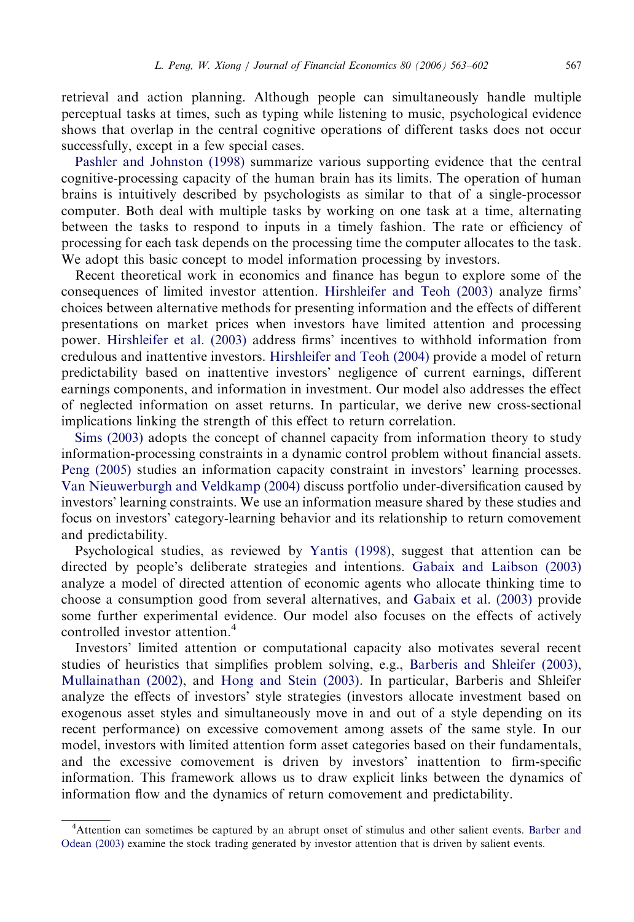retrieval and action planning. Although people can simultaneously handle multiple perceptual tasks at times, such as typing while listening to music, psychological evidence shows that overlap in the central cognitive operations of different tasks does not occur successfully, except in a few special cases.

[Pashler and Johnston \(1998\)](#page-38-0) summarize various supporting evidence that the central cognitive-processing capacity of the human brain has its limits. The operation of human brains is intuitively described by psychologists as similar to that of a single-processor computer. Both deal with multiple tasks by working on one task at a time, alternating between the tasks to respond to inputs in a timely fashion. The rate or efficiency of processing for each task depends on the processing time the computer allocates to the task. We adopt this basic concept to model information processing by investors.

Recent theoretical work in economics and finance has begun to explore some of the consequences of limited investor attention. [Hirshleifer and Teoh \(2003\)](#page-38-0) analyze firms' choices between alternative methods for presenting information and the effects of different presentations on market prices when investors have limited attention and processing power. [Hirshleifer et al. \(2003\)](#page-38-0) address firms' incentives to withhold information from credulous and inattentive investors. [Hirshleifer and Teoh \(2004\)](#page-38-0) provide a model of return predictability based on inattentive investors' negligence of current earnings, different earnings components, and information in investment. Our model also addresses the effect of neglected information on asset returns. In particular, we derive new cross-sectional implications linking the strength of this effect to return correlation.

[Sims \(2003\)](#page-38-0) adopts the concept of channel capacity from information theory to study information-processing constraints in a dynamic control problem without financial assets. [Peng \(2005\)](#page-38-0) studies an information capacity constraint in investors' learning processes. [Van Nieuwerburgh and Veldkamp \(2004\)](#page-39-0) discuss portfolio under-diversification caused by investors' learning constraints. We use an information measure shared by these studies and focus on investors' category-learning behavior and its relationship to return comovement and predictability.

Psychological studies, as reviewed by [Yantis \(1998\),](#page-39-0) suggest that attention can be directed by people's deliberate strategies and intentions. [Gabaix and Laibson \(2003\)](#page-37-0) analyze a model of directed attention of economic agents who allocate thinking time to choose a consumption good from several alternatives, and [Gabaix et al. \(2003\)](#page-37-0) provide some further experimental evidence. Our model also focuses on the effects of actively controlled investor attention.<sup>4</sup>

Investors' limited attention or computational capacity also motivates several recent studies of heuristics that simplifies problem solving, e.g., [Barberis and Shleifer \(2003\),](#page-37-0) [Mullainathan \(2002\),](#page-38-0) and [Hong and Stein \(2003\)](#page-38-0). In particular, Barberis and Shleifer analyze the effects of investors' style strategies (investors allocate investment based on exogenous asset styles and simultaneously move in and out of a style depending on its recent performance) on excessive comovement among assets of the same style. In our model, investors with limited attention form asset categories based on their fundamentals, and the excessive comovement is driven by investors' inattention to firm-specific information. This framework allows us to draw explicit links between the dynamics of information flow and the dynamics of return comovement and predictability.

<sup>4</sup> Attention can sometimes be captured by an abrupt onset of stimulus and other salient events. [Barber and](#page-37-0) [Odean \(2003\)](#page-37-0) examine the stock trading generated by investor attention that is driven by salient events.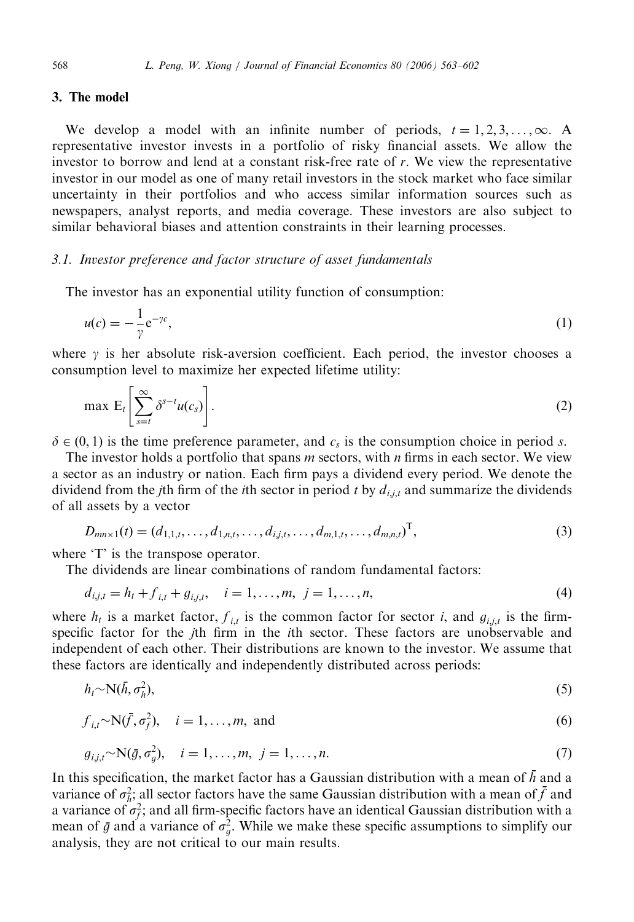## 3. The model

We develop a model with an infinite number of periods,  $t = 1, 2, 3, \ldots, \infty$ . A representative investor invests in a portfolio of risky financial assets. We allow the investor to borrow and lend at a constant risk-free rate of r. We view the representative investor in our model as one of many retail investors in the stock market who face similar uncertainty in their portfolios and who access similar information sources such as newspapers, analyst reports, and media coverage. These investors are also subject to similar behavioral biases and attention constraints in their learning processes.

## 3.1. Investor preference and factor structure of asset fundamentals

The investor has an exponential utility function of consumption:

$$
u(c) = -\frac{1}{\gamma} e^{-\gamma c},\tag{1}
$$

where  $\gamma$  is her absolute risk-aversion coefficient. Each period, the investor chooses a consumption level to maximize her expected lifetime utility:

$$
\max \mathbf{E}_{t} \left[ \sum_{s=t}^{\infty} \delta^{s-t} u(c_{s}) \right]. \tag{2}
$$

 $\delta \in (0, 1)$  is the time preference parameter, and  $c_s$  is the consumption choice in period s.

The investor holds a portfolio that spans  $m$  sectors, with  $n$  firms in each sector. We view a sector as an industry or nation. Each firm pays a dividend every period. We denote the dividend from the jth firm of the *i*th sector in period t by  $d_{i,j,t}$  and summarize the dividends of all assets by a vector

$$
D_{mn \times 1}(t) = (d_{1,1,t}, \dots, d_{1,n,t}, \dots, d_{ij,t}, \dots, d_{m,1,t}, \dots, d_{m,n,t})^{\mathrm{T}},
$$
\n(3)

where 'T' is the transpose operator.

The dividends are linear combinations of random fundamental factors:

$$
d_{i,j,t} = h_t + f_{i,t} + g_{i,j,t}, \quad i = 1, \dots, m, \ j = 1, \dots, n,
$$
\n(4)

where  $h_t$  is a market factor,  $f_{i,t}$  is the common factor for sector i, and  $g_{i,i,t}$  is the firmspecific factor for the jth firm in the ith sector. These factors are unobservable and independent of each other. Their distributions are known to the investor. We assume that these factors are identically and independently distributed across periods:

$$
h_t \sim \mathcal{N}(\bar{h}, \sigma_h^2),\tag{5}
$$

$$
f_{i,t} \sim N(\bar{f}, \sigma_f^2), \quad i = 1, \dots, m, \text{ and}
$$

$$
g_{i,j,t} \sim N(\bar{g}, \sigma_g^2), \quad i = 1, \dots, m, \ j = 1, \dots, n. \tag{7}
$$

In this specification, the market factor has a Gaussian distribution with a mean of  $\bar{h}$  and a variance of  $\sigma_h^2$ ; all sector factors have the same Gaussian distribution with a mean of  $\bar{f}$  and a variance of  $\sigma_f^2$ ; and all firm-specific factors have an identical Gaussian distribution with a mean of  $\bar{g}$  and a variance of  $\sigma_g^2$ . While we make these specific assumptions to simplify our analysis, they are not critical to our main results.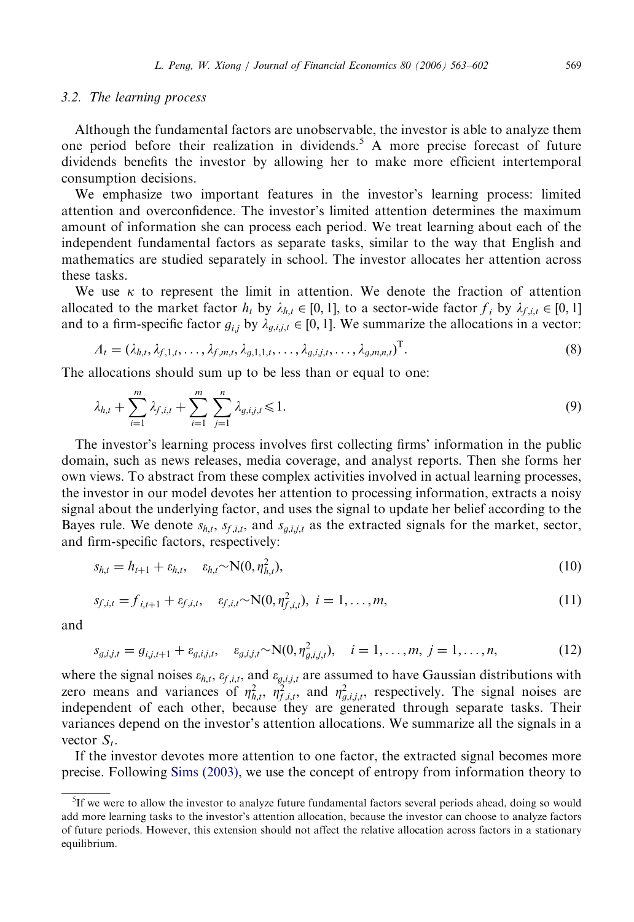## 3.2. The learning process

Although the fundamental factors are unobservable, the investor is able to analyze them one period before their realization in dividends.5 A more precise forecast of future dividends benefits the investor by allowing her to make more efficient intertemporal consumption decisions.

We emphasize two important features in the investor's learning process: limited attention and overconfidence. The investor's limited attention determines the maximum amount of information she can process each period. We treat learning about each of the independent fundamental factors as separate tasks, similar to the way that English and mathematics are studied separately in school. The investor allocates her attention across these tasks.

We use  $\kappa$  to represent the limit in attention. We denote the fraction of attention allocated to the market factor  $h_t$  by  $\lambda_{h,t} \in [0,1]$ , to a sector-wide factor  $f_i$  by  $\lambda_{f,i,t} \in [0,1]$ and to a firm-specific factor  $g_{i,j}$  by  $\lambda_{g,i,j,t} \in [0,1]$ . We summarize the allocations in a vector:

$$
\Lambda_t = (\lambda_{h,t}, \lambda_{f,1,t}, \dots, \lambda_{f,m,t}, \lambda_{g,1,1,t}, \dots, \lambda_{g,i,j,t}, \dots, \lambda_{g,m,n,t})^{\mathrm{T}}.
$$
\n
$$
(8)
$$

The allocations should sum up to be less than or equal to one:

$$
\lambda_{h,t} + \sum_{i=1}^{m} \lambda_{f,i,t} + \sum_{i=1}^{m} \sum_{j=1}^{n} \lambda_{g,i,j,t} \le 1.
$$
 (9)

The investor's learning process involves first collecting firms' information in the public domain, such as news releases, media coverage, and analyst reports. Then she forms her own views. To abstract from these complex activities involved in actual learning processes, the investor in our model devotes her attention to processing information, extracts a noisy signal about the underlying factor, and uses the signal to update her belief according to the Bayes rule. We denote  $s_{h,t}$ ,  $s_{f,i,t}$ , and  $s_{g,i,j,t}$  as the extracted signals for the market, sector, and firm-specific factors, respectively:

$$
s_{h,t} = h_{t+1} + \varepsilon_{h,t}, \quad \varepsilon_{h,t} \sim N(0, \eta_{h,t}^2), \tag{10}
$$

$$
s_{f,i,t} = f_{i,t+1} + \varepsilon_{f,i,t}, \quad \varepsilon_{f,i,t} \sim N(0, \eta_{f,i,t}^2), \quad i = 1, \dots, m,
$$
\n(11)

and

$$
s_{g,i,j,t} = g_{i,j,t+1} + \varepsilon_{g,i,j,t}, \quad \varepsilon_{g,i,j,t} \sim \mathcal{N}(0, \eta_{g,i,j,t}^2), \quad i = 1, \dots, m, \ j = 1, \dots, n,
$$
 (12)

where the signal noises  $\varepsilon_{h,t}$ ,  $\varepsilon_{f,i,t}$ , and  $\varepsilon_{g,i,j,t}$  are assumed to have Gaussian distributions with zero means and variances of  $\eta_{h,t}^2$ ,  $\eta_{f,i,t}^2$ , and  $\eta_{g,i,j,t}^2$ , respectively. The signal noises are independent of each other, because they are generated through separate tasks. Their variances depend on the investor's attention allocations. We summarize all the signals in a vector  $S_t$ .

If the investor devotes more attention to one factor, the extracted signal becomes more precise. Following [Sims \(2003\)](#page-38-0), we use the concept of entropy from information theory to

<sup>&</sup>lt;sup>5</sup>If we were to allow the investor to analyze future fundamental factors several periods ahead, doing so would add more learning tasks to the investor's attention allocation, because the investor can choose to analyze factors of future periods. However, this extension should not affect the relative allocation across factors in a stationary equilibrium.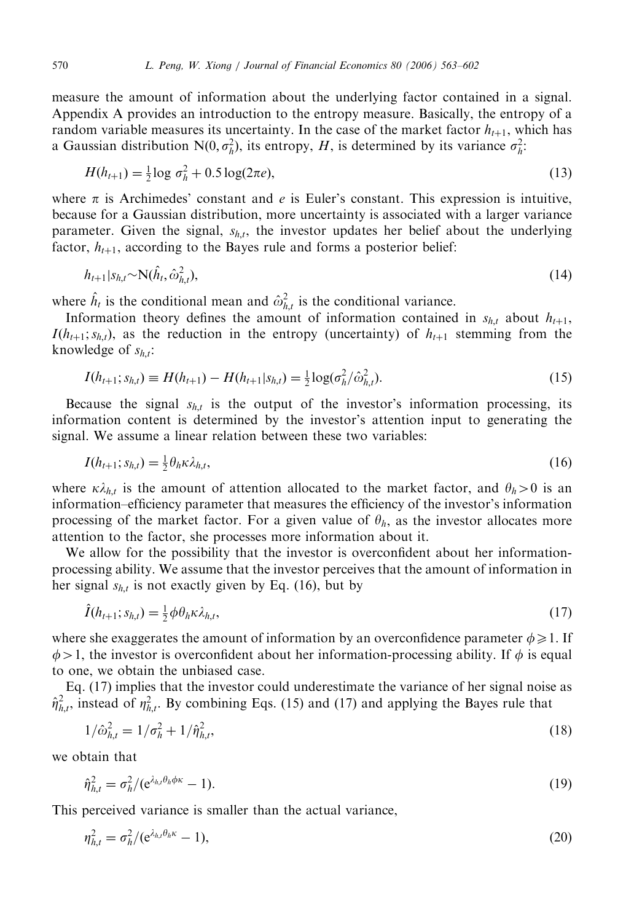measure the amount of information about the underlying factor contained in a signal. Appendix A provides an introduction to the entropy measure. Basically, the entropy of a random variable measures its uncertainty. In the case of the market factor  $h_{t+1}$ , which has a Gaussian distribution N(0,  $\sigma_h^2$ ), its entropy, H, is determined by its variance  $\sigma_h^2$ .

$$
H(h_{t+1}) = \frac{1}{2} \log \sigma_h^2 + 0.5 \log(2\pi e),\tag{13}
$$

where  $\pi$  is Archimedes' constant and e is Euler's constant. This expression is intuitive, because for a Gaussian distribution, more uncertainty is associated with a larger variance parameter. Given the signal,  $s_{h,t}$ , the investor updates her belief about the underlying factor,  $h_{t+1}$ , according to the Bayes rule and forms a posterior belief:

$$
h_{t+1}|s_{h,t} \sim \mathcal{N}(\hat{h}_t, \hat{\omega}_{h,t}^2), \tag{14}
$$

where  $\hat{h}_t$  is the conditional mean and  $\hat{\omega}_{h,t}^2$  is the conditional variance.

Information theory defines the amount of information contained in  $s_{h,t}$  about  $h_{t+1}$ ,  $I(h_{t+1}; s_{h,t})$ , as the reduction in the entropy (uncertainty) of  $h_{t+1}$  stemming from the knowledge of  $s_{h,t}$ :

$$
I(h_{t+1}; s_{h,t}) \equiv H(h_{t+1}) - H(h_{t+1}|s_{h,t}) = \frac{1}{2} \log(\sigma_h^2 / \hat{\omega}_{h,t}^2). \tag{15}
$$

Because the signal  $s_{h,t}$  is the output of the investor's information processing, its information content is determined by the investor's attention input to generating the signal. We assume a linear relation between these two variables:

$$
I(h_{t+1}; s_{h,t}) = \frac{1}{2} \theta_h \kappa \lambda_{h,t},
$$
\n(16)

where  $\kappa \lambda_{h,t}$  is the amount of attention allocated to the market factor, and  $\theta_h > 0$  is an information–efficiency parameter that measures the efficiency of the investor's information processing of the market factor. For a given value of  $\theta_h$ , as the investor allocates more attention to the factor, she processes more information about it.

We allow for the possibility that the investor is overconfident about her informationprocessing ability. We assume that the investor perceives that the amount of information in her signal  $s_{h,t}$  is not exactly given by Eq. (16), but by

$$
\hat{I}(h_{t+1}; s_{h,t}) = \frac{1}{2} \phi \theta_h \kappa \lambda_{h,t},\tag{17}
$$

where she exaggerates the amount of information by an overconfidence parameter  $\phi \geq 1$ . If  $\phi > 1$ , the investor is overconfident about her information-processing ability. If  $\phi$  is equal to one, we obtain the unbiased case.

Eq. (17) implies that the investor could underestimate the variance of her signal noise as  $\hat{\eta}_{h,t}^2$ , instead of  $\eta_{h,t}^2$ . By combining Eqs. (15) and (17) and applying the Bayes rule that

$$
1/\hat{\omega}_{h,t}^2 = 1/\sigma_h^2 + 1/\hat{\eta}_{h,t}^2,\tag{18}
$$

we obtain that

$$
\hat{\eta}_{h,t}^2 = \sigma_h^2 / (\mathrm{e}^{\lambda_{h,t} \theta_h \phi_K} - 1). \tag{19}
$$

This perceived variance is smaller than the actual variance,

$$
\eta_{h,t}^2 = \sigma_h^2 / (e^{\lambda_{h,t} \theta_h \kappa} - 1),\tag{20}
$$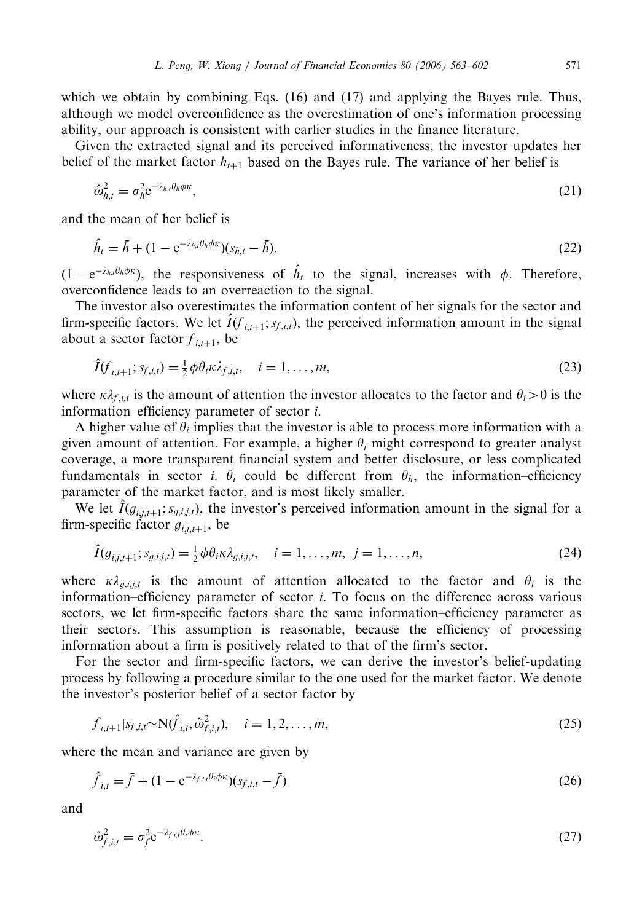which we obtain by combining Eqs. (16) and (17) and applying the Bayes rule. Thus, although we model overconfidence as the overestimation of one's information processing ability, our approach is consistent with earlier studies in the finance literature.

Given the extracted signal and its perceived informativeness, the investor updates her belief of the market factor  $h_{t+1}$  based on the Bayes rule. The variance of her belief is

$$
\hat{\omega}_{h,t}^2 = \sigma_h^2 e^{-\lambda_{h,t}\theta_h\phi_K},\tag{21}
$$

and the mean of her belief is

$$
\hat{h}_t = \bar{h} + (1 - e^{-\lambda_{h,t}\theta_h\phi_K})(s_{h,t} - \bar{h}).
$$
\n(22)

 $(1 - e^{-\lambda_{h,t}\theta_h\phi_K})$ , the responsiveness of  $\hat{h}_t$  to the signal, increases with  $\phi$ . Therefore, overconfidence leads to an overreaction to the signal.

The investor also overestimates the information content of her signals for the sector and firm-specific factors. We let  $\hat{I}(f_{i,t+1}; s_{f,i,t})$ , the perceived information amount in the signal about a sector factor  $f_{i,t+1}$ , be

$$
\hat{I}(f_{i,t+1}; s_{f,i,t}) = \frac{1}{2} \phi \theta_i \kappa \lambda_{f,i,t}, \quad i = 1, \dots, m,
$$
\n(23)

where  $\kappa \lambda_{i,i,t}$  is the amount of attention the investor allocates to the factor and  $\theta_i > 0$  is the information–efficiency parameter of sector i.

A higher value of  $\theta_i$  implies that the investor is able to process more information with a given amount of attention. For example, a higher  $\theta_i$  might correspond to greater analyst coverage, a more transparent financial system and better disclosure, or less complicated fundamentals in sector *i.*  $\theta_i$  could be different from  $\theta_h$ , the information–efficiency parameter of the market factor, and is most likely smaller.

We let  $\hat{I}(g_{i,j,t+1}; s_{g,i,j,t})$ , the investor's perceived information amount in the signal for a firm-specific factor  $g_{i,i,t+1}$ , be

$$
\hat{I}(g_{i,j,t+1}; s_{g,i,j,t}) = \frac{1}{2} \phi \theta_i \kappa \lambda_{g,i,j,t}, \quad i = 1, ..., m, \ j = 1, ..., n,
$$
\n(24)

where  $\kappa \lambda_{a,i,t}$  is the amount of attention allocated to the factor and  $\theta_i$  is the information–efficiency parameter of sector  $i$ . To focus on the difference across various sectors, we let firm-specific factors share the same information–efficiency parameter as their sectors. This assumption is reasonable, because the efficiency of processing information about a firm is positively related to that of the firm's sector.

For the sector and firm-specific factors, we can derive the investor's belief-updating process by following a procedure similar to the one used for the market factor. We denote the investor's posterior belief of a sector factor by

$$
f_{i,t+1}|s_{f,i,t} \sim N(\hat{f}_{i,t}, \hat{\omega}_{f,i,t}^2), \quad i = 1, 2, ..., m,
$$
\n(25)

where the mean and variance are given by

$$
\hat{f}_{i,t} = \bar{f} + (1 - e^{-\lambda_{f,i,t} \theta_i \phi \kappa})(s_{f,i,t} - \bar{f})
$$
\n(26)

and

$$
\hat{\omega}_{f,i,t}^2 = \sigma_f^2 e^{-\lambda_{f,i,t} \theta_i \phi \kappa}.
$$
\n(27)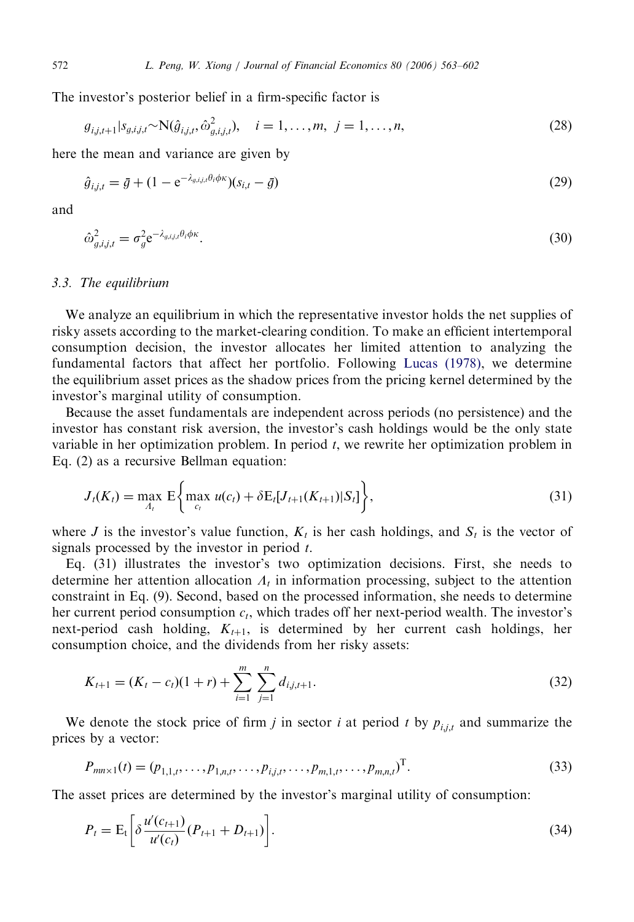The investor's posterior belief in a firm-specific factor is

$$
g_{i,j,t+1}|s_{g,i,j,t} \sim N(\hat{g}_{i,j,t}, \hat{\omega}_{g,i,j,t}^2), \quad i = 1, \dots, m, \ j = 1, \dots, n,
$$
\n(28)

here the mean and variance are given by

$$
\hat{g}_{i,j,t} = \bar{g} + (1 - e^{-\lambda_{g,i,j,t} \theta_i \phi_K})(s_{i,t} - \bar{g})
$$
\n(29)

and

$$
\hat{\omega}_{g,i,j,t}^2 = \sigma_g^2 e^{-\lambda_{g,i,j,t} \theta_i \phi \kappa}.
$$
\n(30)

## 3.3. The equilibrium

We analyze an equilibrium in which the representative investor holds the net supplies of risky assets according to the market-clearing condition. To make an efficient intertemporal consumption decision, the investor allocates her limited attention to analyzing the fundamental factors that affect her portfolio. Following [Lucas \(1978\)](#page-38-0), we determine the equilibrium asset prices as the shadow prices from the pricing kernel determined by the investor's marginal utility of consumption.

Because the asset fundamentals are independent across periods (no persistence) and the investor has constant risk aversion, the investor's cash holdings would be the only state variable in her optimization problem. In period  $t$ , we rewrite her optimization problem in Eq. (2) as a recursive Bellman equation:

$$
J_t(K_t) = \max_{A_t} \mathbb{E}\bigg\{\max_{c_t} u(c_t) + \delta \mathbb{E}_t[J_{t+1}(K_{t+1})|S_t]\bigg\},\tag{31}
$$

where *J* is the investor's value function,  $K_t$  is her cash holdings, and  $S_t$  is the vector of signals processed by the investor in period  $t$ .

Eq. (31) illustrates the investor's two optimization decisions. First, she needs to determine her attention allocation  $\Lambda_t$  in information processing, subject to the attention constraint in Eq. (9). Second, based on the processed information, she needs to determine her current period consumption  $c_t$ , which trades off her next-period wealth. The investor's next-period cash holding,  $K_{t+1}$ , is determined by her current cash holdings, her consumption choice, and the dividends from her risky assets:

$$
K_{t+1} = (K_t - c_t)(1+r) + \sum_{i=1}^{m} \sum_{j=1}^{n} d_{i,j,t+1}.
$$
\n(32)

We denote the stock price of firm j in sector i at period t by  $p_{i,i,t}$  and summarize the prices by a vector:

$$
P_{mn \times 1}(t) = (p_{1,1,t}, \dots, p_{1,n,t}, \dots, p_{i,j,t}, \dots, p_{m,1,t}, \dots, p_{m,n,t})^{\mathrm{T}}.
$$
\n(33)

The asset prices are determined by the investor's marginal utility of consumption:

$$
P_{t} = \mathcal{E}_{t} \bigg[ \delta \frac{u'(c_{t+1})}{u'(c_{t})} (P_{t+1} + D_{t+1}) \bigg]. \tag{34}
$$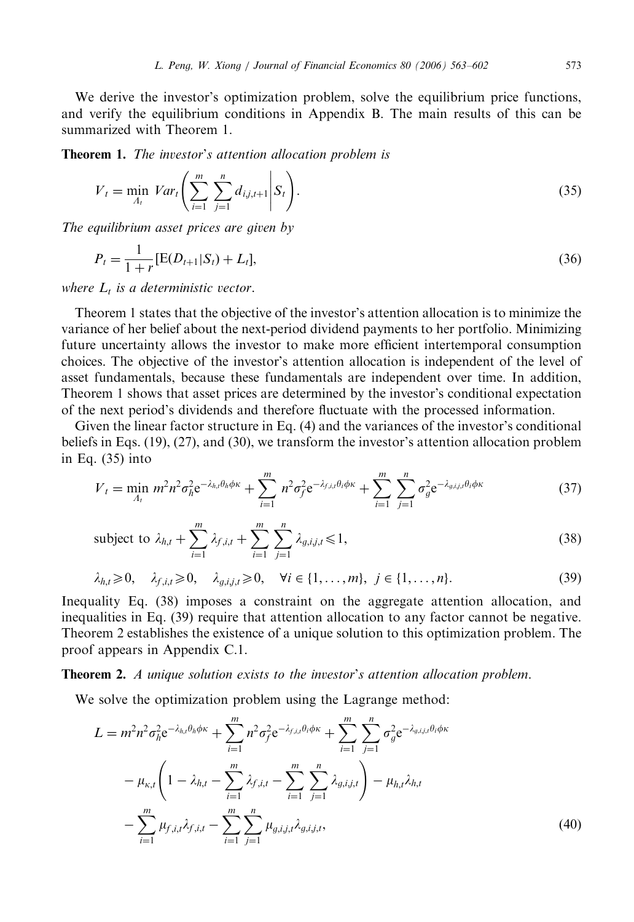We derive the investor's optimization problem, solve the equilibrium price functions, and verify the equilibrium conditions in Appendix B. The main results of this can be summarized with Theorem 1.

Theorem 1. The investor's attention allocation problem is

$$
V_{t} = \min_{A_{t}} Var_{t} \left( \sum_{i=1}^{m} \sum_{j=1}^{n} d_{i,j,t+1} \middle| S_{t} \right). \tag{35}
$$

The equilibrium asset prices are given by

$$
P_t = \frac{1}{1+r} [E(D_{t+1}|S_t) + L_t],
$$
\n(36)

where  $L_t$  is a deterministic vector.

Theorem 1 states that the objective of the investor's attention allocation is to minimize the variance of her belief about the next-period dividend payments to her portfolio. Minimizing future uncertainty allows the investor to make more efficient intertemporal consumption choices. The objective of the investor's attention allocation is independent of the level of asset fundamentals, because these fundamentals are independent over time. In addition, Theorem 1 shows that asset prices are determined by the investor's conditional expectation of the next period's dividends and therefore fluctuate with the processed information.

Given the linear factor structure in Eq. (4) and the variances of the investor's conditional beliefs in Eqs. (19), (27), and (30), we transform the investor's attention allocation problem in Eq. (35) into

$$
V_{t} = \min_{A_{t}} m^{2} n^{2} \sigma_{h}^{2} e^{-\lambda_{h,t} \theta_{h} \phi_{K}} + \sum_{i=1}^{m} n^{2} \sigma_{f}^{2} e^{-\lambda_{f,i,t} \theta_{i} \phi_{K}} + \sum_{i=1}^{m} \sum_{j=1}^{n} \sigma_{g}^{2} e^{-\lambda_{g,i,j,t} \theta_{i} \phi_{K}}
$$
(37)

subject to 
$$
\lambda_{h,t} + \sum_{i=1}^{m} \lambda_{f,i,t} + \sum_{i=1}^{m} \sum_{j=1}^{n} \lambda_{g,i,j,t} \le 1,
$$
 (38)

$$
\lambda_{h,t} \geq 0, \quad \lambda_{f,i,t} \geq 0, \quad \lambda_{g,i,j,t} \geq 0, \quad \forall i \in \{1,\ldots,m\}, \ j \in \{1,\ldots,n\}.
$$

Inequality Eq. (38) imposes a constraint on the aggregate attention allocation, and inequalities in Eq. (39) require that attention allocation to any factor cannot be negative. Theorem 2 establishes the existence of a unique solution to this optimization problem. The proof appears in Appendix C.1.

Theorem 2. A unique solution exists to the investor's attention allocation problem.

We solve the optimization problem using the Lagrange method:

$$
L = m^{2} n^{2} \sigma_{h}^{2} e^{-\lambda_{h,i} \theta_{h} \phi_{K}} + \sum_{i=1}^{m} n^{2} \sigma_{f}^{2} e^{-\lambda_{f,i,i} \theta_{i} \phi_{K}} + \sum_{i=1}^{m} \sum_{j=1}^{n} \sigma_{g}^{2} e^{-\lambda_{g,i,j} \theta_{i} \phi_{K}}
$$

$$
- \mu_{\kappa,t} \left( 1 - \lambda_{h,t} - \sum_{i=1}^{m} \lambda_{f,i,t} - \sum_{i=1}^{m} \sum_{j=1}^{n} \lambda_{g,i,j,t} \right) - \mu_{h,t} \lambda_{h,t}
$$

$$
- \sum_{i=1}^{m} \mu_{f,i,t} \lambda_{f,i,t} - \sum_{i=1}^{m} \sum_{j=1}^{n} \mu_{g,i,j,t} \lambda_{g,i,j,t}, \qquad (40)
$$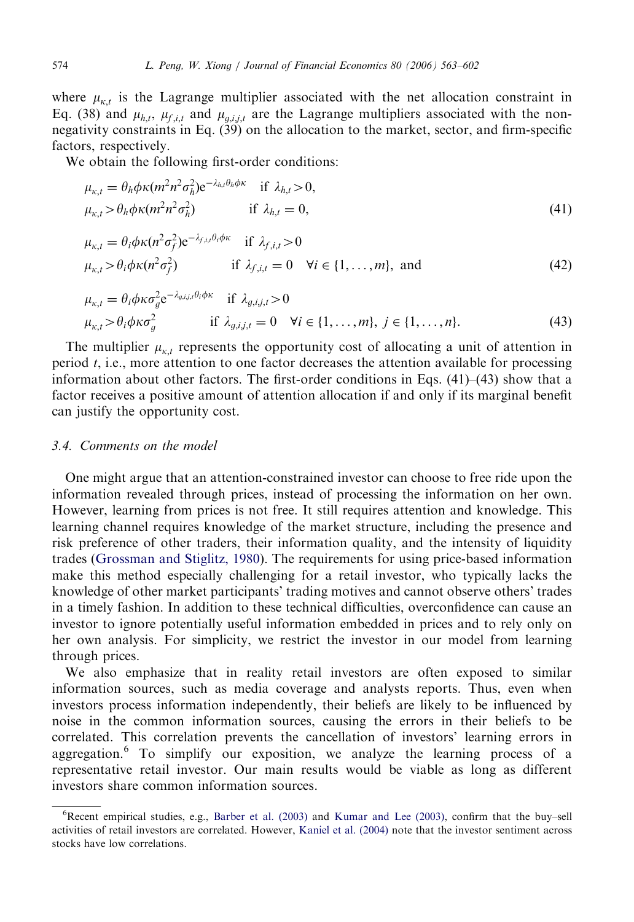where  $\mu_{\kappa}$ , is the Lagrange multiplier associated with the net allocation constraint in Eq. (38) and  $\mu_h$ ,  $\mu_{f,i}$  and  $\mu_{a,i}$  are the Lagrange multipliers associated with the nonnegativity constraints in Eq. (39) on the allocation to the market, sector, and firm-specific factors, respectively.

We obtain the following first-order conditions:

$$
\mu_{\kappa,t} = \theta_h \phi \kappa (m^2 n^2 \sigma_h^2) e^{-\lambda_{h,t} \theta_h \phi \kappa} \quad \text{if } \lambda_{h,t} > 0,
$$
  
\n
$$
\mu_{\kappa,t} > \theta_h \phi \kappa (m^2 n^2 \sigma_h^2) \qquad \text{if } \lambda_{h,t} = 0,
$$
\n(41)

$$
\mu_{\kappa,t} = \theta_i \phi \kappa (n^2 \sigma_f^2) e^{-\lambda_{f,i,t} \theta_i \phi \kappa} \quad \text{if } \lambda_{f,i,t} > 0
$$
\n
$$
\mu_{\kappa,t} > \theta_i \phi \kappa (n^2 \sigma_f^2) \qquad \text{if } \lambda_{f,i,t} = 0 \quad \forall i \in \{1, \dots, m\}, \text{ and} \tag{42}
$$

$$
\mu_{\kappa,t} = \theta_i \phi \kappa \sigma_g^2 e^{-\lambda_{g,i,j,t} \theta_i \phi \kappa} \quad \text{if } \lambda_{g,i,j,t} > 0
$$
\n
$$
\mu_{\kappa,t} > \theta_i \phi \kappa \sigma_g^2 \qquad \text{if } \lambda_{g,i,j,t} = 0 \quad \forall i \in \{1, \dots, m\}, j \in \{1, \dots, n\}. \tag{43}
$$

The multiplier  $\mu_{k,t}$  represents the opportunity cost of allocating a unit of attention in period  $t$ , i.e., more attention to one factor decreases the attention available for processing information about other factors. The first-order conditions in Eqs. (41)–(43) show that a factor receives a positive amount of attention allocation if and only if its marginal benefit can justify the opportunity cost.

# 3.4. Comments on the model

One might argue that an attention-constrained investor can choose to free ride upon the information revealed through prices, instead of processing the information on her own. However, learning from prices is not free. It still requires attention and knowledge. This learning channel requires knowledge of the market structure, including the presence and risk preference of other traders, their information quality, and the intensity of liquidity trades ([Grossman and Stiglitz, 1980\)](#page-38-0). The requirements for using price-based information make this method especially challenging for a retail investor, who typically lacks the knowledge of other market participants' trading motives and cannot observe others' trades in a timely fashion. In addition to these technical difficulties, overconfidence can cause an investor to ignore potentially useful information embedded in prices and to rely only on her own analysis. For simplicity, we restrict the investor in our model from learning through prices.

We also emphasize that in reality retail investors are often exposed to similar information sources, such as media coverage and analysts reports. Thus, even when investors process information independently, their beliefs are likely to be influenced by noise in the common information sources, causing the errors in their beliefs to be correlated. This correlation prevents the cancellation of investors' learning errors in aggregation.<sup>6</sup> To simplify our exposition, we analyze the learning process of a representative retail investor. Our main results would be viable as long as different investors share common information sources.

<sup>6</sup> Recent empirical studies, e.g., [Barber et al. \(2003\)](#page-37-0) and [Kumar and Lee \(2003\)](#page-38-0), confirm that the buy–sell activities of retail investors are correlated. However, [Kaniel et al. \(2004\)](#page-38-0) note that the investor sentiment across stocks have low correlations.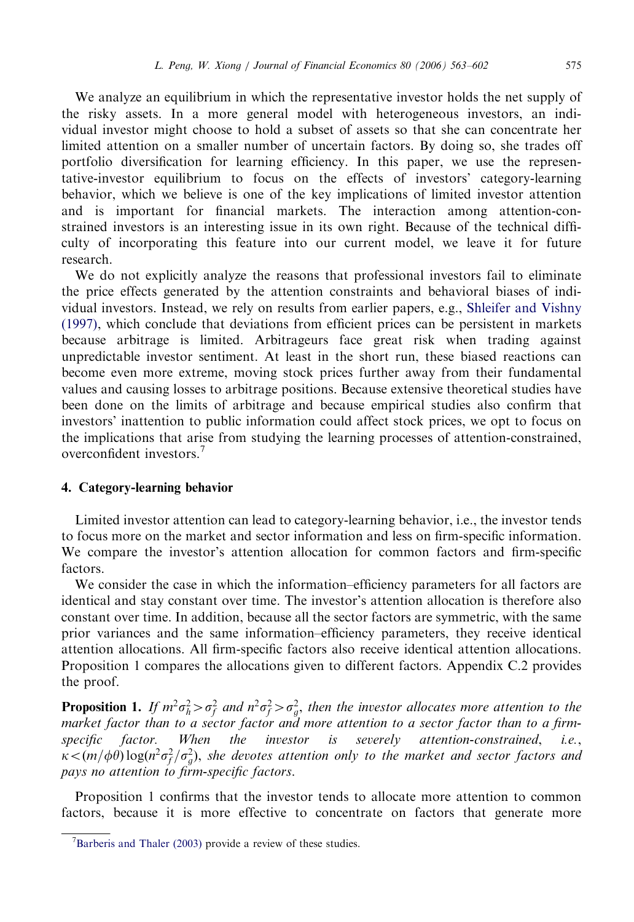We analyze an equilibrium in which the representative investor holds the net supply of the risky assets. In a more general model with heterogeneous investors, an individual investor might choose to hold a subset of assets so that she can concentrate her limited attention on a smaller number of uncertain factors. By doing so, she trades off portfolio diversification for learning efficiency. In this paper, we use the representative-investor equilibrium to focus on the effects of investors' category-learning behavior, which we believe is one of the key implications of limited investor attention and is important for financial markets. The interaction among attention-constrained investors is an interesting issue in its own right. Because of the technical difficulty of incorporating this feature into our current model, we leave it for future research.

We do not explicitly analyze the reasons that professional investors fail to eliminate the price effects generated by the attention constraints and behavioral biases of individual investors. Instead, we rely on results from earlier papers, e.g., [Shleifer and Vishny](#page-38-0) [\(1997\)](#page-38-0), which conclude that deviations from efficient prices can be persistent in markets because arbitrage is limited. Arbitrageurs face great risk when trading against unpredictable investor sentiment. At least in the short run, these biased reactions can become even more extreme, moving stock prices further away from their fundamental values and causing losses to arbitrage positions. Because extensive theoretical studies have been done on the limits of arbitrage and because empirical studies also confirm that investors' inattention to public information could affect stock prices, we opt to focus on the implications that arise from studying the learning processes of attention-constrained, overconfident investors.<sup>7</sup>

## 4. Category-learning behavior

Limited investor attention can lead to category-learning behavior, i.e., the investor tends to focus more on the market and sector information and less on firm-specific information. We compare the investor's attention allocation for common factors and firm-specific factors.

We consider the case in which the information–efficiency parameters for all factors are identical and stay constant over time. The investor's attention allocation is therefore also constant over time. In addition, because all the sector factors are symmetric, with the same prior variances and the same information–efficiency parameters, they receive identical attention allocations. All firm-specific factors also receive identical attention allocations. Proposition 1 compares the allocations given to different factors. Appendix C.2 provides the proof.

**Proposition 1.** If  $m^2\sigma_h^2 > \sigma_f^2$  and  $n^2\sigma_f^2 > \sigma_g^2$ , then the investor allocates more attention to the market factor than to a sector factor and more attention to a sector factor than to a firmspecific factor. When the investor is severely attention-constrained, i.e.,  $\kappa <$ (m/ $\phi$ θ)log(n<sup>2</sup> $\sigma_f^2/\sigma_g^2$ ), she devotes attention only to the market and sector factors and pays no attention to firm-specific factors.

Proposition 1 confirms that the investor tends to allocate more attention to common factors, because it is more effective to concentrate on factors that generate more

 $7$ [Barberis and Thaler \(2003\)](#page-37-0) provide a review of these studies.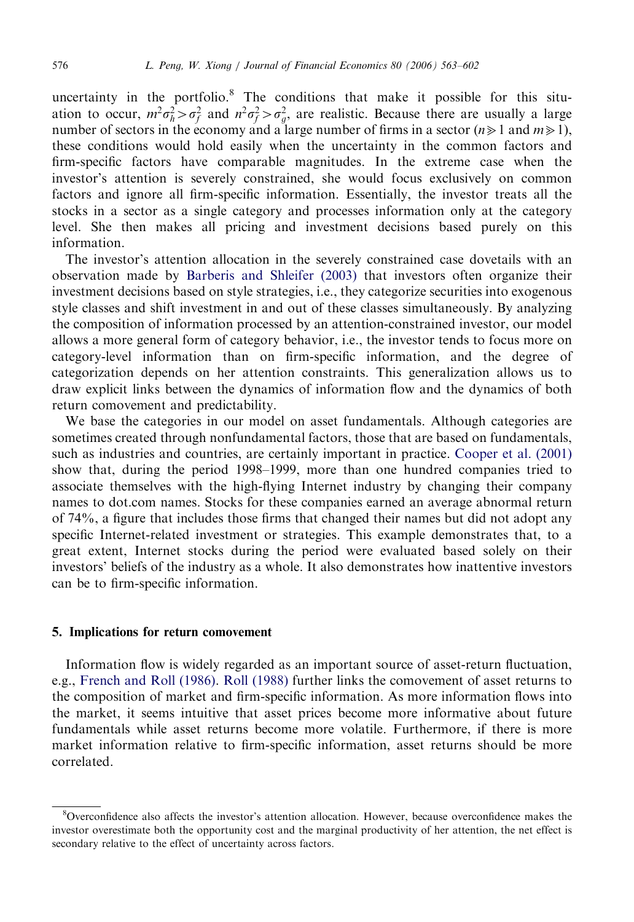uncertainty in the portfolio.<sup>8</sup> The conditions that make it possible for this situation to occur,  $m^2\sigma_h^2 > \sigma_f^2$  and  $n^2\sigma_f^2 > \sigma_g^2$ , are realistic. Because there are usually a large number of sectors in the economy and a large number of firms in a sector  $(n \geq 1$  and  $m \geq 1$ ), these conditions would hold easily when the uncertainty in the common factors and firm-specific factors have comparable magnitudes. In the extreme case when the investor's attention is severely constrained, she would focus exclusively on common factors and ignore all firm-specific information. Essentially, the investor treats all the stocks in a sector as a single category and processes information only at the category level. She then makes all pricing and investment decisions based purely on this information.

The investor's attention allocation in the severely constrained case dovetails with an observation made by [Barberis and Shleifer \(2003\)](#page-37-0) that investors often organize their investment decisions based on style strategies, i.e., they categorize securities into exogenous style classes and shift investment in and out of these classes simultaneously. By analyzing the composition of information processed by an attention-constrained investor, our model allows a more general form of category behavior, i.e., the investor tends to focus more on category-level information than on firm-specific information, and the degree of categorization depends on her attention constraints. This generalization allows us to draw explicit links between the dynamics of information flow and the dynamics of both return comovement and predictability.

We base the categories in our model on asset fundamentals. Although categories are sometimes created through nonfundamental factors, those that are based on fundamentals, such as industries and countries, are certainly important in practice. [Cooper et al. \(2001\)](#page-37-0) show that, during the period 1998–1999, more than one hundred companies tried to associate themselves with the high-flying Internet industry by changing their company names to dot.com names. Stocks for these companies earned an average abnormal return of 74%, a figure that includes those firms that changed their names but did not adopt any specific Internet-related investment or strategies. This example demonstrates that, to a great extent, Internet stocks during the period were evaluated based solely on their investors' beliefs of the industry as a whole. It also demonstrates how inattentive investors can be to firm-specific information.

#### 5. Implications for return comovement

Information flow is widely regarded as an important source of asset-return fluctuation, e.g., [French and Roll \(1986\)](#page-37-0). [Roll \(1988\)](#page-38-0) further links the comovement of asset returns to the composition of market and firm-specific information. As more information flows into the market, it seems intuitive that asset prices become more informative about future fundamentals while asset returns become more volatile. Furthermore, if there is more market information relative to firm-specific information, asset returns should be more correlated.

<sup>8</sup> Overconfidence also affects the investor's attention allocation. However, because overconfidence makes the investor overestimate both the opportunity cost and the marginal productivity of her attention, the net effect is secondary relative to the effect of uncertainty across factors.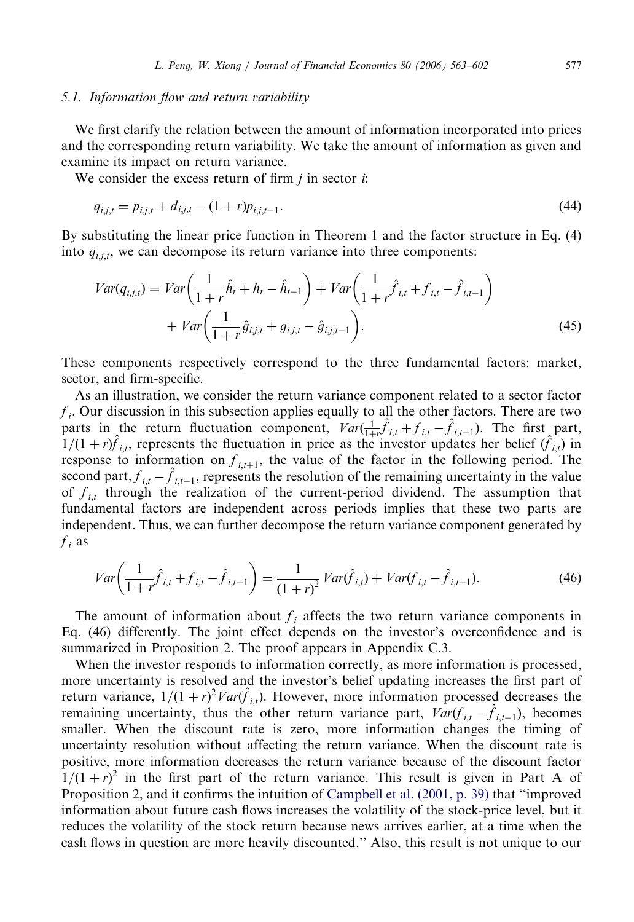#### 5.1. Information flow and return variability

We first clarify the relation between the amount of information incorporated into prices and the corresponding return variability. We take the amount of information as given and examine its impact on return variance.

We consider the excess return of firm  $i$  in sector  $i$ :

$$
q_{i,j,t} = p_{i,j,t} + d_{i,j,t} - (1+r)p_{i,j,t-1}.
$$
\n(44)

By substituting the linear price function in Theorem 1 and the factor structure in Eq. (4) into  $q_{i,i,t}$ , we can decompose its return variance into three components:

$$
Var(q_{i,j,t}) = Var\left(\frac{1}{1+r}\hat{h}_t + h_t - \hat{h}_{t-1}\right) + Var\left(\frac{1}{1+r}\hat{f}_{i,t} + f_{i,t} - \hat{f}_{i,t-1}\right) + Var\left(\frac{1}{1+r}\hat{g}_{i,j,t} + g_{i,j,t} - \hat{g}_{i,j,t-1}\right).
$$
\n(45)

These components respectively correspond to the three fundamental factors: market, sector, and firm-specific.

As an illustration, we consider the return variance component related to a sector factor  $f_i$ . Our discussion in this subsection applies equally to all the other factors. There are two parts in the return fluctuation component,  $Var(\frac{1}{1+r}\hat{f}_{i,t} + f_{i,t} - \hat{f}_{i,t-1})$ . The first part,  $1/(1 + r)\hat{f}_{i,t}$ , represents the fluctuation in price as the investor updates her belief  $(\hat{f}_{i,t})$  in response to information on  $f_{i,t+1}$ , the value of the factor in the following period. The second part,  $f_{i,t} - \hat{f}_{i,t-1}$ , represents the resolution of the remaining uncertainty in the value of  $f_{i,t}$  through the realization of the current-period dividend. The assumption that fundamental factors are independent across periods implies that these two parts are independent. Thus, we can further decompose the return variance component generated by  $f_i$  as

$$
Var\left(\frac{1}{1+r}\hat{f}_{i,t} + f_{i,t} - \hat{f}_{i,t-1}\right) = \frac{1}{(1+r)^2} Var(\hat{f}_{i,t}) + Var(f_{i,t} - \hat{f}_{i,t-1}).
$$
\n(46)

The amount of information about  $f_i$  affects the two return variance components in Eq. (46) differently. The joint effect depends on the investor's overconfidence and is summarized in Proposition 2. The proof appears in Appendix C.3.

When the investor responds to information correctly, as more information is processed, more uncertainty is resolved and the investor's belief updating increases the first part of return variance,  $1/(1 + r)^2 Var(\hat{f}_{i,t})$ . However, more information processed decreases the remaining uncertainty, thus the other return variance part,  $Var(f_{i,t} - \hat{f}_{i,t-1})$ , becomes smaller. When the discount rate is zero, more information changes the timing of uncertainty resolution without affecting the return variance. When the discount rate is positive, more information decreases the return variance because of the discount factor  $1/(1+r)^2$  in the first part of the return variance. This result is given in Part A of Proposition 2, and it confirms the intuition of [Campbell et al. \(2001, p. 39\)](#page-37-0) that ''improved information about future cash flows increases the volatility of the stock-price level, but it reduces the volatility of the stock return because news arrives earlier, at a time when the cash flows in question are more heavily discounted.'' Also, this result is not unique to our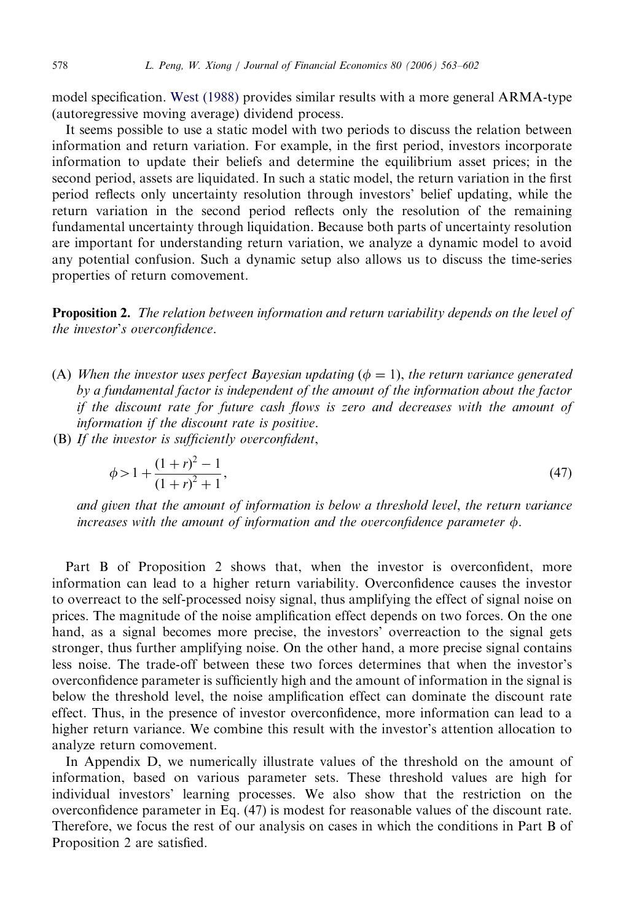model specification. [West \(1988\)](#page-39-0) provides similar results with a more general ARMA-type (autoregressive moving average) dividend process.

It seems possible to use a static model with two periods to discuss the relation between information and return variation. For example, in the first period, investors incorporate information to update their beliefs and determine the equilibrium asset prices; in the second period, assets are liquidated. In such a static model, the return variation in the first period reflects only uncertainty resolution through investors' belief updating, while the return variation in the second period reflects only the resolution of the remaining fundamental uncertainty through liquidation. Because both parts of uncertainty resolution are important for understanding return variation, we analyze a dynamic model to avoid any potential confusion. Such a dynamic setup also allows us to discuss the time-series properties of return comovement.

**Proposition 2.** The relation between information and return variability depends on the level of the investor's overconfidence.

- (A) When the investor uses perfect Bayesian updating  $(\phi = 1)$ , the return variance generated by a fundamental factor is independent of the amount of the information about the factor if the discount rate for future cash flows is zero and decreases with the amount of information if the discount rate is positive.
- (B) If the investor is sufficiently overconfident,

$$
\phi > 1 + \frac{(1+r)^2 - 1}{(1+r)^2 + 1},\tag{47}
$$

and given that the amount of information is below a threshold level, the return variance increases with the amount of information and the overconfidence parameter  $\phi$ .

Part B of Proposition 2 shows that, when the investor is overconfident, more information can lead to a higher return variability. Overconfidence causes the investor to overreact to the self-processed noisy signal, thus amplifying the effect of signal noise on prices. The magnitude of the noise amplification effect depends on two forces. On the one hand, as a signal becomes more precise, the investors' overreaction to the signal gets stronger, thus further amplifying noise. On the other hand, a more precise signal contains less noise. The trade-off between these two forces determines that when the investor's overconfidence parameter is sufficiently high and the amount of information in the signal is below the threshold level, the noise amplification effect can dominate the discount rate effect. Thus, in the presence of investor overconfidence, more information can lead to a higher return variance. We combine this result with the investor's attention allocation to analyze return comovement.

In Appendix D, we numerically illustrate values of the threshold on the amount of information, based on various parameter sets. These threshold values are high for individual investors' learning processes. We also show that the restriction on the overconfidence parameter in Eq. (47) is modest for reasonable values of the discount rate. Therefore, we focus the rest of our analysis on cases in which the conditions in Part B of Proposition 2 are satisfied.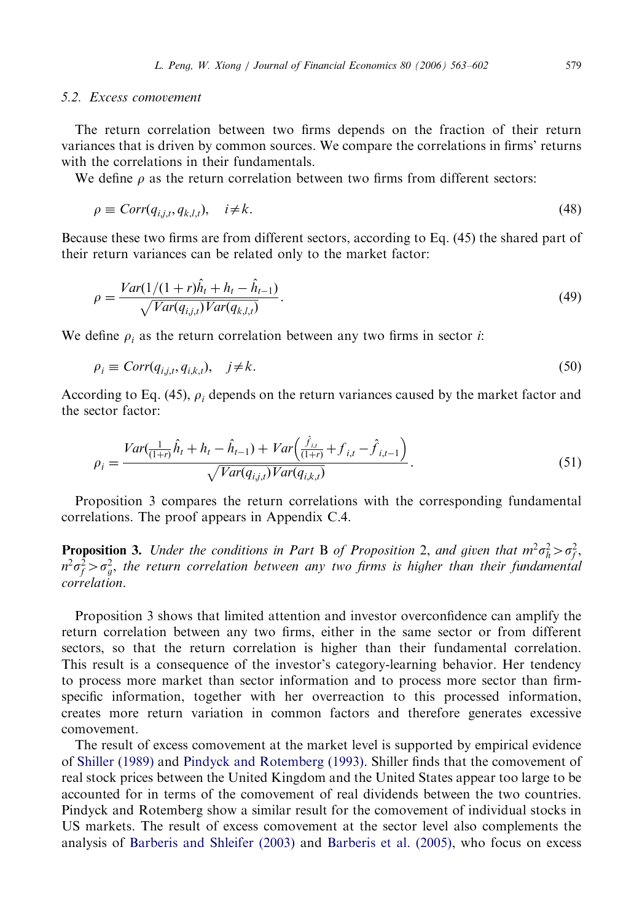#### 5.2. Excess comovement

The return correlation between two firms depends on the fraction of their return variances that is driven by common sources. We compare the correlations in firms' returns with the correlations in their fundamentals.

We define  $\rho$  as the return correlation between two firms from different sectors:

$$
\rho \equiv Corr(q_{i,j,t}, q_{k,l,t}), \quad i \neq k. \tag{48}
$$

Because these two firms are from different sectors, according to Eq. (45) the shared part of their return variances can be related only to the market factor:

$$
\rho = \frac{Var(1/(1+r)\hat{h}_t + h_t - \hat{h}_{t-1})}{\sqrt{Var(q_{i,j,t})Var(q_{k,l,t})}}.
$$
\n(49)

We define  $\rho_i$  as the return correlation between any two firms in sector *i*:

$$
\rho_i \equiv Corr(q_{i,j,t}, q_{i,k,t}), \quad j \neq k. \tag{50}
$$

According to Eq. (45),  $\rho_i$  depends on the return variances caused by the market factor and the sector factor:

$$
\rho_{i} = \frac{Var(\frac{1}{(1+r)}\hat{h}_{t} + h_{t} - \hat{h}_{t-1}) + Var(\hat{f}_{i,t} + f_{i,t} - \hat{f}_{i,t-1})}{\sqrt{Var(q_{i,j,t})Var(q_{i,k,t})}}.
$$
(51)

Proposition 3 compares the return correlations with the corresponding fundamental correlations. The proof appears in Appendix C.4.

**Proposition 3.** Under the conditions in Part B of Proposition 2, and given that  $m^2\sigma_h^2 > \sigma_f^2$ ,  $m^2\sigma_f^2$   $>$   $\sigma_g^2$ , the return correlation between any two firms is higher than their fundamental correlation.

Proposition 3 shows that limited attention and investor overconfidence can amplify the return correlation between any two firms, either in the same sector or from different sectors, so that the return correlation is higher than their fundamental correlation. This result is a consequence of the investor's category-learning behavior. Her tendency to process more market than sector information and to process more sector than firmspecific information, together with her overreaction to this processed information, creates more return variation in common factors and therefore generates excessive comovement.

The result of excess comovement at the market level is supported by empirical evidence of [Shiller \(1989\)](#page-38-0) and [Pindyck and Rotemberg \(1993\).](#page-38-0) Shiller finds that the comovement of real stock prices between the United Kingdom and the United States appear too large to be accounted for in terms of the comovement of real dividends between the two countries. Pindyck and Rotemberg show a similar result for the comovement of individual stocks in US markets. The result of excess comovement at the sector level also complements the analysis of [Barberis and Shleifer \(2003\)](#page-37-0) and [Barberis et al. \(2005\),](#page-37-0) who focus on excess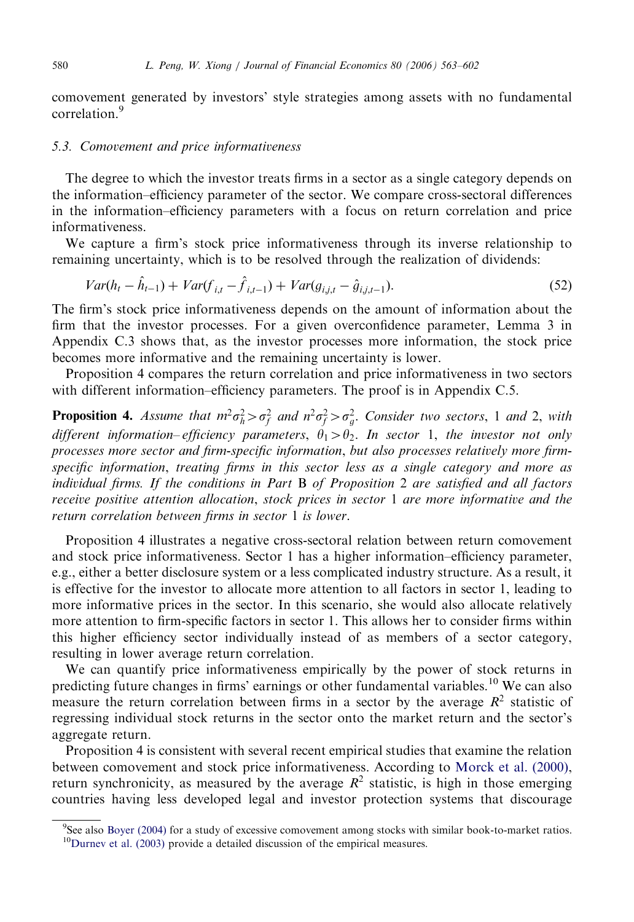comovement generated by investors' style strategies among assets with no fundamental correlation<sup>9</sup>

#### 5.3. Comovement and price informativeness

The degree to which the investor treats firms in a sector as a single category depends on the information–efficiency parameter of the sector. We compare cross-sectoral differences in the information–efficiency parameters with a focus on return correlation and price informativeness.

We capture a firm's stock price informativeness through its inverse relationship to remaining uncertainty, which is to be resolved through the realization of dividends:

$$
Var(h_t - \hat{h}_{t-1}) + Var(f_{i,t} - \hat{f}_{i,t-1}) + Var(g_{i,j,t} - \hat{g}_{i,j,t-1}).
$$
\n(52)

The firm's stock price informativeness depends on the amount of information about the firm that the investor processes. For a given overconfidence parameter, Lemma 3 in Appendix C.3 shows that, as the investor processes more information, the stock price becomes more informative and the remaining uncertainty is lower.

Proposition 4 compares the return correlation and price informativeness in two sectors with different information–efficiency parameters. The proof is in Appendix C.5.

**Proposition 4.** Assume that  $m^2\sigma_h^2 > \sigma_f^2$  and  $n^2\sigma_f^2 > \sigma_g^2$ . Consider two sectors, 1 and 2, with different information–efficiency parameters,  $\theta_1 > \theta_2$ . In sector 1, the investor not only processes more sector and firm-specific information, but also processes relatively more firmspecific information, treating firms in this sector less as a single category and more as individual firms. If the conditions in Part B of Proposition 2 are satisfied and all factors receive positive attention allocation, stock prices in sector 1 are more informative and the return correlation between firms in sector 1 is lower.

Proposition 4 illustrates a negative cross-sectoral relation between return comovement and stock price informativeness. Sector 1 has a higher information–efficiency parameter, e.g., either a better disclosure system or a less complicated industry structure. As a result, it is effective for the investor to allocate more attention to all factors in sector 1, leading to more informative prices in the sector. In this scenario, she would also allocate relatively more attention to firm-specific factors in sector 1. This allows her to consider firms within this higher efficiency sector individually instead of as members of a sector category, resulting in lower average return correlation.

We can quantify price informativeness empirically by the power of stock returns in predicting future changes in firms' earnings or other fundamental variables.<sup>10</sup> We can also measure the return correlation between firms in a sector by the average  $R^2$  statistic of regressing individual stock returns in the sector onto the market return and the sector's aggregate return.

Proposition 4 is consistent with several recent empirical studies that examine the relation between comovement and stock price informativeness. According to [Morck et al. \(2000\),](#page-38-0) return synchronicity, as measured by the average  $R^2$  statistic, is high in those emerging countries having less developed legal and investor protection systems that discourage

<sup>9</sup> See also [Boyer \(2004\)](#page-37-0) for a study of excessive comovement among stocks with similar book-to-market ratios.  $10$ Durnev et al. (2003) provide a detailed discussion of the empirical measures.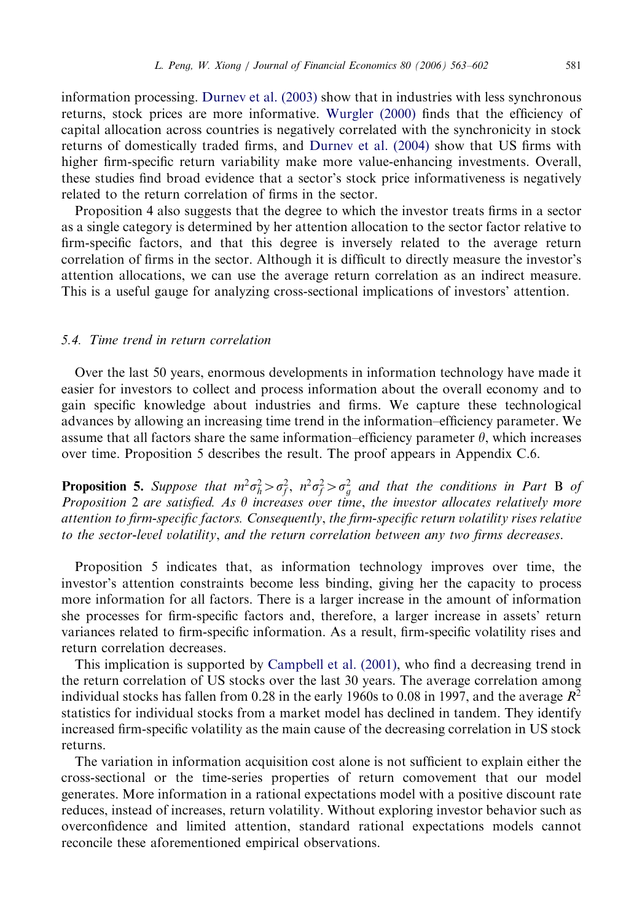information processing. [Durnev et al. \(2003\)](#page-37-0) show that in industries with less synchronous returns, stock prices are more informative. [Wurgler \(2000\)](#page-39-0) finds that the efficiency of capital allocation across countries is negatively correlated with the synchronicity in stock returns of domestically traded firms, and [Durnev et al. \(2004\)](#page-37-0) show that US firms with higher firm-specific return variability make more value-enhancing investments. Overall, these studies find broad evidence that a sector's stock price informativeness is negatively related to the return correlation of firms in the sector.

Proposition 4 also suggests that the degree to which the investor treats firms in a sector as a single category is determined by her attention allocation to the sector factor relative to firm-specific factors, and that this degree is inversely related to the average return correlation of firms in the sector. Although it is difficult to directly measure the investor's attention allocations, we can use the average return correlation as an indirect measure. This is a useful gauge for analyzing cross-sectional implications of investors' attention.

## 5.4. Time trend in return correlation

Over the last 50 years, enormous developments in information technology have made it easier for investors to collect and process information about the overall economy and to gain specific knowledge about industries and firms. We capture these technological advances by allowing an increasing time trend in the information–efficiency parameter. We assume that all factors share the same information–efficiency parameter  $\theta$ , which increases over time. Proposition 5 describes the result. The proof appears in Appendix C.6.

**Proposition 5.** Suppose that  $m^2\sigma_h^2 > \sigma_f^2$ ,  $n^2\sigma_f^2 > \sigma_g^2$  and that the conditions in Part B of Proposition 2 are satisfied. As  $\theta$  increases over time, the investor allocates relatively more attention to firm-specific factors. Consequently, the firm-specific return volatility rises relative to the sector-level volatility, and the return correlation between any two firms decreases.

Proposition 5 indicates that, as information technology improves over time, the investor's attention constraints become less binding, giving her the capacity to process more information for all factors. There is a larger increase in the amount of information she processes for firm-specific factors and, therefore, a larger increase in assets' return variances related to firm-specific information. As a result, firm-specific volatility rises and return correlation decreases.

This implication is supported by [Campbell et al. \(2001\),](#page-37-0) who find a decreasing trend in the return correlation of US stocks over the last 30 years. The average correlation among individual stocks has fallen from 0.28 in the early 1960s to 0.08 in 1997, and the average  $R^2$ statistics for individual stocks from a market model has declined in tandem. They identify increased firm-specific volatility as the main cause of the decreasing correlation in US stock returns.

The variation in information acquisition cost alone is not sufficient to explain either the cross-sectional or the time-series properties of return comovement that our model generates. More information in a rational expectations model with a positive discount rate reduces, instead of increases, return volatility. Without exploring investor behavior such as overconfidence and limited attention, standard rational expectations models cannot reconcile these aforementioned empirical observations.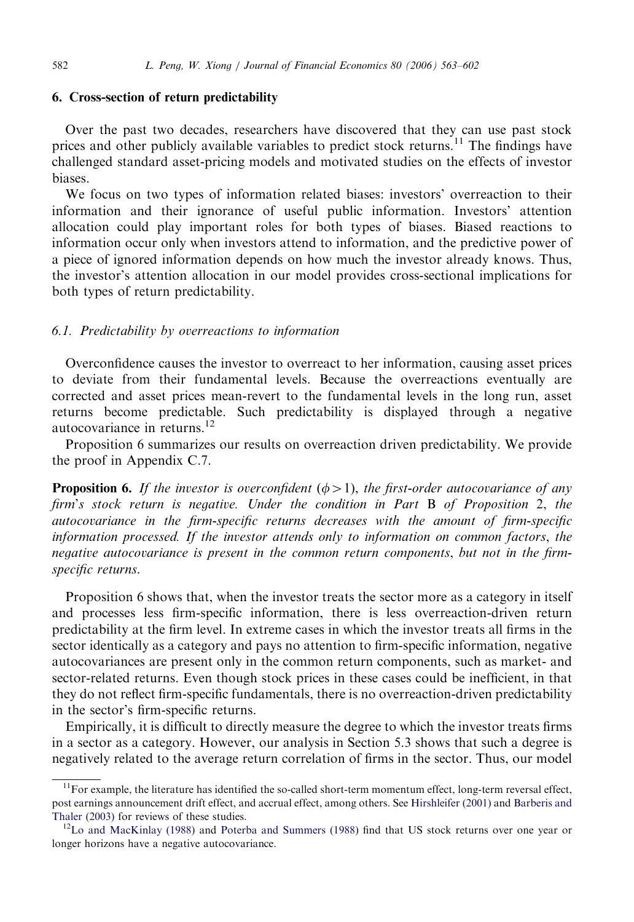## 6. Cross-section of return predictability

Over the past two decades, researchers have discovered that they can use past stock prices and other publicly available variables to predict stock returns.<sup>11</sup> The findings have challenged standard asset-pricing models and motivated studies on the effects of investor biases.

We focus on two types of information related biases: investors' overreaction to their information and their ignorance of useful public information. Investors' attention allocation could play important roles for both types of biases. Biased reactions to information occur only when investors attend to information, and the predictive power of a piece of ignored information depends on how much the investor already knows. Thus, the investor's attention allocation in our model provides cross-sectional implications for both types of return predictability.

## 6.1. Predictability by overreactions to information

Overconfidence causes the investor to overreact to her information, causing asset prices to deviate from their fundamental levels. Because the overreactions eventually are corrected and asset prices mean-revert to the fundamental levels in the long run, asset returns become predictable. Such predictability is displayed through a negative autocovariance in returns.12

Proposition 6 summarizes our results on overreaction driven predictability. We provide the proof in Appendix C.7.

**Proposition 6.** If the investor is overconfident  $(\phi > 1)$ , the first-order autocovariance of any firm's stock return is negative. Under the condition in Part B of Proposition 2, the autocovariance in the firm-specific returns decreases with the amount of firm-specific information processed. If the investor attends only to information on common factors, the negative autocovariance is present in the common return components, but not in the firmspecific returns.

Proposition 6 shows that, when the investor treats the sector more as a category in itself and processes less firm-specific information, there is less overreaction-driven return predictability at the firm level. In extreme cases in which the investor treats all firms in the sector identically as a category and pays no attention to firm-specific information, negative autocovariances are present only in the common return components, such as market- and sector-related returns. Even though stock prices in these cases could be inefficient, in that they do not reflect firm-specific fundamentals, there is no overreaction-driven predictability in the sector's firm-specific returns.

Empirically, it is difficult to directly measure the degree to which the investor treats firms in a sector as a category. However, our analysis in Section 5.3 shows that such a degree is negatively related to the average return correlation of firms in the sector. Thus, our model

 $11$  For example, the literature has identified the so-called short-term momentum effect, long-term reversal effect, post earnings announcement drift effect, and accrual effect, among others. See [Hirshleifer \(2001\)](#page-38-0) and [Barberis and](#page-37-0) [Thaler \(2003\)](#page-37-0) for reviews of these studies.<br><sup>12</sup>Lo and MacKinlay (1988) and [Poterba and Summers \(1988\)](#page-38-0) find that US stock returns over one year or

longer horizons have a negative autocovariance.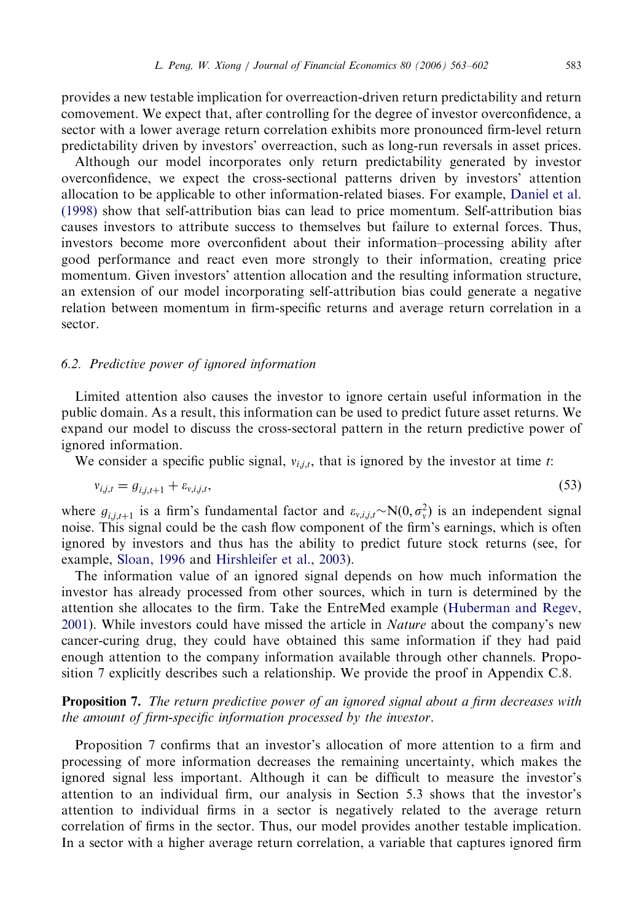provides a new testable implication for overreaction-driven return predictability and return comovement. We expect that, after controlling for the degree of investor overconfidence, a sector with a lower average return correlation exhibits more pronounced firm-level return predictability driven by investors' overreaction, such as long-run reversals in asset prices.

Although our model incorporates only return predictability generated by investor overconfidence, we expect the cross-sectional patterns driven by investors' attention allocation to be applicable to other information-related biases. For example, [Daniel et al.](#page-37-0) [\(1998\)](#page-37-0) show that self-attribution bias can lead to price momentum. Self-attribution bias causes investors to attribute success to themselves but failure to external forces. Thus, investors become more overconfident about their information–processing ability after good performance and react even more strongly to their information, creating price momentum. Given investors' attention allocation and the resulting information structure, an extension of our model incorporating self-attribution bias could generate a negative relation between momentum in firm-specific returns and average return correlation in a sector.

#### 6.2. Predictive power of ignored information

Limited attention also causes the investor to ignore certain useful information in the public domain. As a result, this information can be used to predict future asset returns. We expand our model to discuss the cross-sectoral pattern in the return predictive power of ignored information.

We consider a specific public signal,  $v_{i,j,t}$ , that is ignored by the investor at time t:

$$
v_{i,j,t} = g_{i,j,t+1} + \varepsilon_{v,i,j,t},\tag{53}
$$

where  $g_{i,j,t+1}$  is a firm's fundamental factor and  $\varepsilon_{v,i,j,t} \sim N(0, \sigma_v^2)$  is an independent signal noise. This signal could be the cash flow component of the firm's earnings, which is often ignored by investors and thus has the ability to predict future stock returns (see, for example, [Sloan, 1996](#page-38-0) and [Hirshleifer et al., 2003\)](#page-38-0).

The information value of an ignored signal depends on how much information the investor has already processed from other sources, which in turn is determined by the attention she allocates to the firm. Take the EntreMed example ([Huberman and Regev,](#page-38-0) [2001](#page-38-0)). While investors could have missed the article in *Nature* about the company's new cancer-curing drug, they could have obtained this same information if they had paid enough attention to the company information available through other channels. Proposition 7 explicitly describes such a relationship. We provide the proof in Appendix C.8.

**Proposition 7.** The return predictive power of an ignored signal about a firm decreases with the amount of firm-specific information processed by the investor.

Proposition 7 confirms that an investor's allocation of more attention to a firm and processing of more information decreases the remaining uncertainty, which makes the ignored signal less important. Although it can be difficult to measure the investor's attention to an individual firm, our analysis in Section 5.3 shows that the investor's attention to individual firms in a sector is negatively related to the average return correlation of firms in the sector. Thus, our model provides another testable implication. In a sector with a higher average return correlation, a variable that captures ignored firm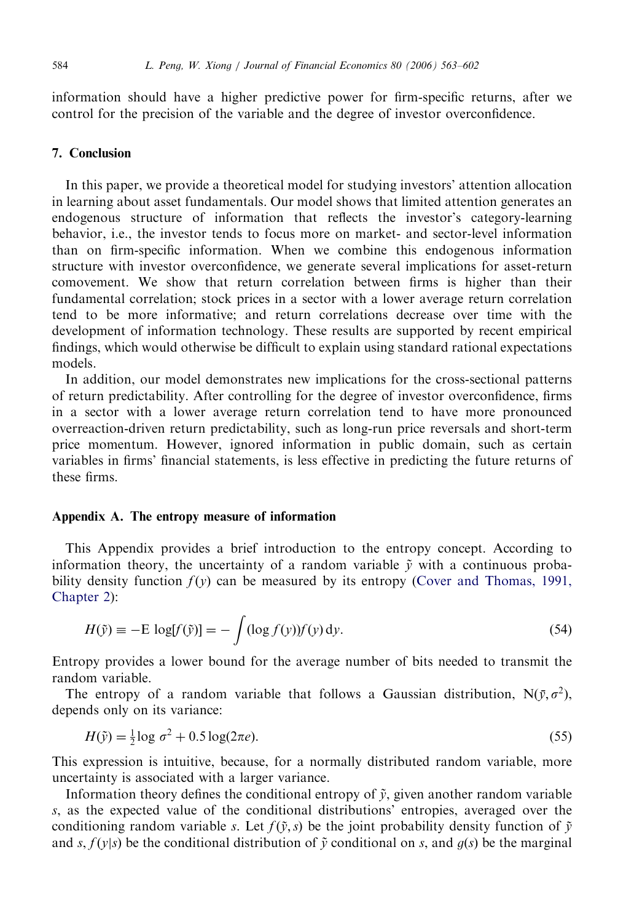information should have a higher predictive power for firm-specific returns, after we control for the precision of the variable and the degree of investor overconfidence.

## 7. Conclusion

In this paper, we provide a theoretical model for studying investors' attention allocation in learning about asset fundamentals. Our model shows that limited attention generates an endogenous structure of information that reflects the investor's category-learning behavior, i.e., the investor tends to focus more on market- and sector-level information than on firm-specific information. When we combine this endogenous information structure with investor overconfidence, we generate several implications for asset-return comovement. We show that return correlation between firms is higher than their fundamental correlation; stock prices in a sector with a lower average return correlation tend to be more informative; and return correlations decrease over time with the development of information technology. These results are supported by recent empirical findings, which would otherwise be difficult to explain using standard rational expectations models.

In addition, our model demonstrates new implications for the cross-sectional patterns of return predictability. After controlling for the degree of investor overconfidence, firms in a sector with a lower average return correlation tend to have more pronounced overreaction-driven return predictability, such as long-run price reversals and short-term price momentum. However, ignored information in public domain, such as certain variables in firms' financial statements, is less effective in predicting the future returns of these firms.

## Appendix A. The entropy measure of information

This Appendix provides a brief introduction to the entropy concept. According to information theory, the uncertainty of a random variable  $\tilde{v}$  with a continuous probability density function  $f(y)$  can be measured by its entropy ([Cover and Thomas, 1991,](#page-37-0) [Chapter 2](#page-37-0)):

$$
H(\tilde{y}) \equiv -E \log[f(\tilde{y})] = -\int (\log f(y))f(y) \, dy. \tag{54}
$$

Entropy provides a lower bound for the average number of bits needed to transmit the random variable.

The entropy of a random variable that follows a Gaussian distribution,  $N(\bar{y}, \sigma^2)$ , depends only on its variance:

$$
H(\tilde{y}) = \frac{1}{2}\log \sigma^2 + 0.5\log(2\pi e). \tag{55}
$$

This expression is intuitive, because, for a normally distributed random variable, more uncertainty is associated with a larger variance.

Information theory defines the conditional entropy of  $\tilde{y}$ , given another random variable s, as the expected value of the conditional distributions' entropies, averaged over the conditioning random variable s. Let  $f(\tilde{y},s)$  be the joint probability density function of  $\tilde{y}$ and s,  $f(y|s)$  be the conditional distribution of  $\tilde{y}$  conditional on s, and  $g(s)$  be the marginal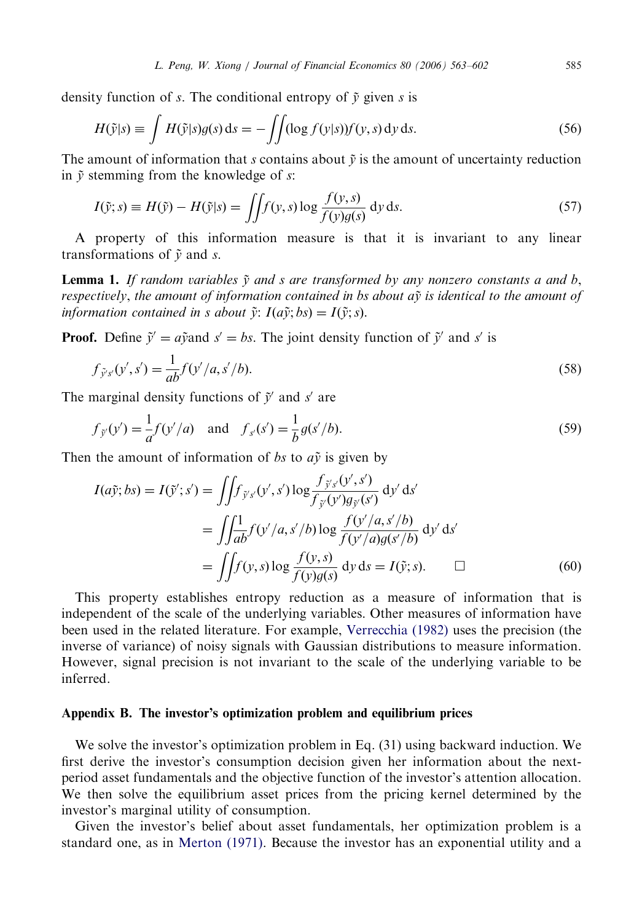density function of s. The conditional entropy of  $\tilde{v}$  given s is

$$
H(\tilde{y}|s) \equiv \int H(\tilde{y}|s)g(s) ds = -\iint (\log f(y|s))f(y,s) dy ds.
$$
 (56)

The amount of information that s contains about  $\tilde{v}$  is the amount of uncertainty reduction in  $\tilde{v}$  stemming from the knowledge of s:

$$
I(\tilde{y}; s) \equiv H(\tilde{y}) - H(\tilde{y}|s) = \iint f(y, s) \log \frac{f(y, s)}{f(y)g(s)} dy ds.
$$
 (57)

A property of this information measure is that it is invariant to any linear transformations of  $\tilde{v}$  and s.

**Lemma 1.** If random variables  $\tilde{y}$  and s are transformed by any nonzero constants a and b, respectively, the amount of information contained in bs about  $a\tilde{y}$  is identical to the amount of information contained in s about  $\tilde{y}$ :  $I(a\tilde{y}; bs) = I(\tilde{y}; s)$ .

**Proof.** Define  $\tilde{y}' = a\tilde{y}$  and  $s' = bs$ . The joint density function of  $\tilde{y}'$  and  $s'$  is

$$
f_{\tilde{y}'s}(y',s') = \frac{1}{ab}f(y'/a,s'/b).
$$
\n(58)

The marginal density functions of  $\tilde{y}'$  and s' are

$$
f_{\tilde{y}}(y') = \frac{1}{a}f(y'/a)
$$
 and  $f_{s}(s') = \frac{1}{b}g(s'/b).$  (59)

Then the amount of information of bs to  $a\tilde{y}$  is given by

$$
I(a\tilde{y};bs) = I(\tilde{y}';s') = \iint f_{\tilde{y}'s'}(y',s') \log \frac{f_{\tilde{y}'s'}(y',s')}{f_{\tilde{y}'}(y')g_{\tilde{y}'}(s')} dy' ds'
$$
  
= 
$$
\iint_{\overline{ab}} f(y'/a, s'/b) \log \frac{f(y'/a, s'/b)}{f(y'/a)g(s'/b)} dy' ds'
$$
  
= 
$$
\iint f(y,s) \log \frac{f(y,s)}{f(y)g(s)} dy ds = I(\tilde{y};s). \square
$$
 (60)

This property establishes entropy reduction as a measure of information that is independent of the scale of the underlying variables. Other measures of information have been used in the related literature. For example, [Verrecchia \(1982\)](#page-39-0) uses the precision (the inverse of variance) of noisy signals with Gaussian distributions to measure information. However, signal precision is not invariant to the scale of the underlying variable to be inferred.

## Appendix B. The investor's optimization problem and equilibrium prices

We solve the investor's optimization problem in Eq. (31) using backward induction. We first derive the investor's consumption decision given her information about the nextperiod asset fundamentals and the objective function of the investor's attention allocation. We then solve the equilibrium asset prices from the pricing kernel determined by the investor's marginal utility of consumption.

Given the investor's belief about asset fundamentals, her optimization problem is a standard one, as in [Merton \(1971\)](#page-38-0). Because the investor has an exponential utility and a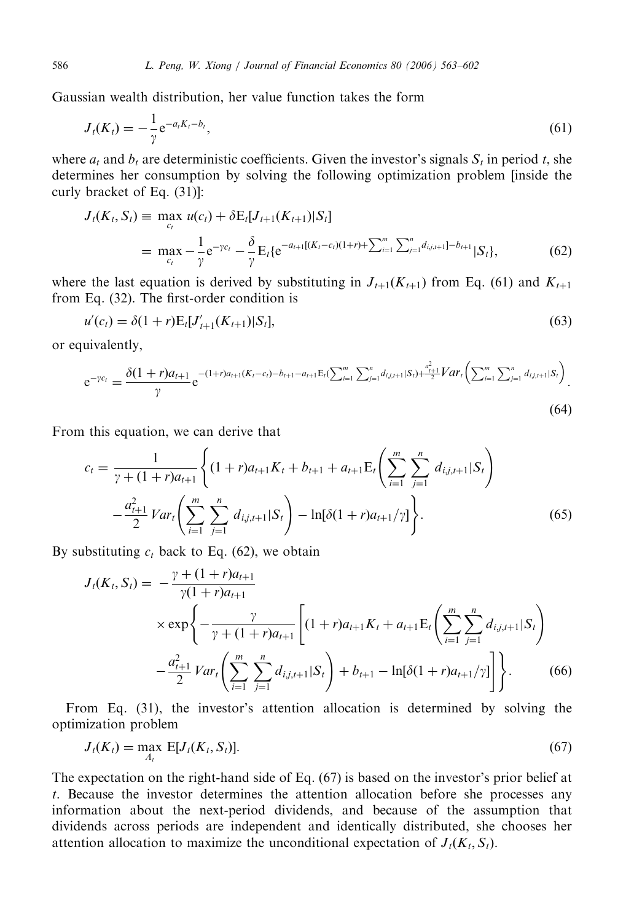Gaussian wealth distribution, her value function takes the form

$$
J_t(K_t) = -\frac{1}{\gamma} e^{-a_t K_t - b_t},
$$
\n(61)

where  $a_t$  and  $b_t$  are deterministic coefficients. Given the investor's signals  $S_t$  in period t, she determines her consumption by solving the following optimization problem [inside the curly bracket of Eq. (31)]:

$$
J_t(K_t, S_t) \equiv \max_{c_t} u(c_t) + \delta E_t[J_{t+1}(K_{t+1})|S_t]
$$
  
= 
$$
\max_{c_t} -\frac{1}{\gamma} e^{-\gamma c_t} - \frac{\delta}{\gamma} E_t\{e^{-a_{t+1}[(K_t - c_t)(1+r) + \sum_{i=1}^m \sum_{j=1}^n d_{i,j,t+1}] - b_{t+1}} |S_t\},
$$
 (62)

where the last equation is derived by substituting in  $J_{t+1}(K_{t+1})$  from Eq. (61) and  $K_{t+1}$ from Eq. (32). The first-order condition is

$$
u'(c_t) = \delta(1+r)E_t[J'_{t+1}(K_{t+1})|S_t],
$$
\n(63)

or equivalently,

$$
e^{-\gamma c_t} = \frac{\delta(1+r)a_{t+1}}{\gamma} e^{-(1+r)a_{t+1}(K_t - c_t) - b_{t+1} - a_{t+1}E_t(\sum_{i=1}^m \sum_{j=1}^n d_{i,j,t+1}|S_t) + \frac{a_{t+1}^2}{2}Var_t\left(\sum_{i=1}^m \sum_{j=1}^n d_{i,j,t+1}|S_t\right)}.
$$
(64)

From this equation, we can derive that

$$
c_{t} = \frac{1}{\gamma + (1+r)a_{t+1}} \left\{ (1+r)a_{t+1}K_{t} + b_{t+1} + a_{t+1}E_{t} \left( \sum_{i=1}^{m} \sum_{j=1}^{n} d_{i,j,t+1} | S_{t} \right) - \frac{a_{t+1}^{2}}{2} Var_{t} \left( \sum_{i=1}^{m} \sum_{j=1}^{n} d_{i,j,t+1} | S_{t} \right) - \ln[\delta(1+r)a_{t+1}/\gamma] \right\}.
$$
 (65)

By substituting  $c_t$  back to Eq. (62), we obtain

$$
J_{t}(K_{t}, S_{t}) = -\frac{\gamma + (1+r)a_{t+1}}{\gamma(1+r)a_{t+1}} \times \exp\left\{-\frac{\gamma}{\gamma + (1+r)a_{t+1}} \left[ (1+r)a_{t+1}K_{t} + a_{t+1}E_{t} \left( \sum_{i=1}^{m} \sum_{j=1}^{n} d_{i,j,t+1} | S_{t} \right) - \frac{a_{t+1}^{2}}{2}Var_{t} \left( \sum_{i=1}^{m} \sum_{j=1}^{n} d_{i,j,t+1} | S_{t} \right) + b_{t+1} - \ln[\delta(1+r)a_{t+1}/\gamma] \right] \right\}.
$$
(66)

From Eq. (31), the investor's attention allocation is determined by solving the optimization problem

$$
J_t(K_t) = \max_{A_t} E[J_t(K_t, S_t)].
$$
\n(67)

The expectation on the right-hand side of Eq. (67) is based on the investor's prior belief at t. Because the investor determines the attention allocation before she processes any information about the next-period dividends, and because of the assumption that dividends across periods are independent and identically distributed, she chooses her attention allocation to maximize the unconditional expectation of  $J_t(K_t, S_t)$ .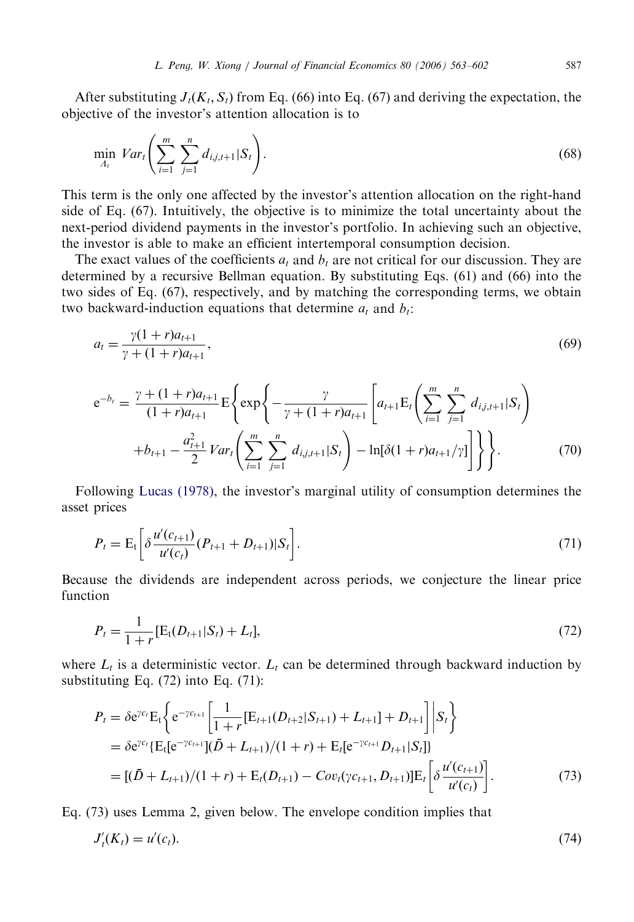After substituting  $J_t(K_t, S_t)$  from Eq. (66) into Eq. (67) and deriving the expectation, the objective of the investor's attention allocation is to

$$
\min_{A_t} \text{Var}_t \left( \sum_{i=1}^m \sum_{j=1}^n d_{i,j,t+1} | S_t \right). \tag{68}
$$

This term is the only one affected by the investor's attention allocation on the right-hand side of Eq. (67). Intuitively, the objective is to minimize the total uncertainty about the next-period dividend payments in the investor's portfolio. In achieving such an objective, the investor is able to make an efficient intertemporal consumption decision.

The exact values of the coefficients  $a_t$  and  $b_t$  are not critical for our discussion. They are determined by a recursive Bellman equation. By substituting Eqs. (61) and (66) into the two sides of Eq. (67), respectively, and by matching the corresponding terms, we obtain two backward-induction equations that determine  $a_t$  and  $b_t$ :

$$
a_{t} = \frac{\gamma (1+r) a_{t+1}}{\gamma + (1+r) a_{t+1}},
$$
\n(69)

$$
e^{-b_t} = \frac{\gamma + (1+r)a_{t+1}}{(1+r)a_{t+1}} E\left\{ exp\left\{ -\frac{\gamma}{\gamma + (1+r)a_{t+1}} \left[ a_{t+1}E_t \left( \sum_{i=1}^m \sum_{j=1}^n d_{i,j,t+1} | S_t \right) + b_{t+1} - \frac{a_{t+1}^2}{2} Var_t \left( \sum_{i=1}^m \sum_{j=1}^n d_{i,j,t+1} | S_t \right) - \ln[\delta(1+r)a_{t+1}/\gamma] \right] \right\} \right\}.
$$
 (70)

Following [Lucas \(1978\),](#page-38-0) the investor's marginal utility of consumption determines the asset prices

$$
P_{t} = \mathcal{E}_{t} \bigg[ \delta \frac{u'(c_{t+1})}{u'(c_{t})} (P_{t+1} + D_{t+1}) |S_{t} \bigg]. \tag{71}
$$

Because the dividends are independent across periods, we conjecture the linear price function

$$
P_t = \frac{1}{1+r} [E_t(D_{t+1}|S_t) + L_t],
$$
\n(72)

where  $L_t$  is a deterministic vector.  $L_t$  can be determined through backward induction by substituting Eq. (72) into Eq. (71):

$$
P_{t} = \delta e^{\gamma c_{t}} E_{t} \left\{ e^{-\gamma c_{t+1}} \left[ \frac{1}{1+r} [E_{t+1}(D_{t+2}|S_{t+1}) + L_{t+1}] + D_{t+1} \right] \middle| S_{t} \right\}
$$
  
\n
$$
= \delta e^{\gamma c_{t}} \{ E_{t} [e^{-\gamma c_{t+1}}] (\bar{D} + L_{t+1}) / (1+r) + E_{t} [e^{-\gamma c_{t+1}} D_{t+1} |S_{t}] \}
$$
  
\n
$$
= [(\bar{D} + L_{t+1}) / (1+r) + E_{t} (D_{t+1}) - Cov_{t} (\gamma c_{t+1}, D_{t+1})] E_{t} \left[ \delta \frac{u'(c_{t+1})}{u'(c_{t})} \right].
$$
\n(73)

Eq. (73) uses Lemma 2, given below. The envelope condition implies that

$$
J'_{t}(K_{t}) = u'(c_{t}).
$$
\n(74)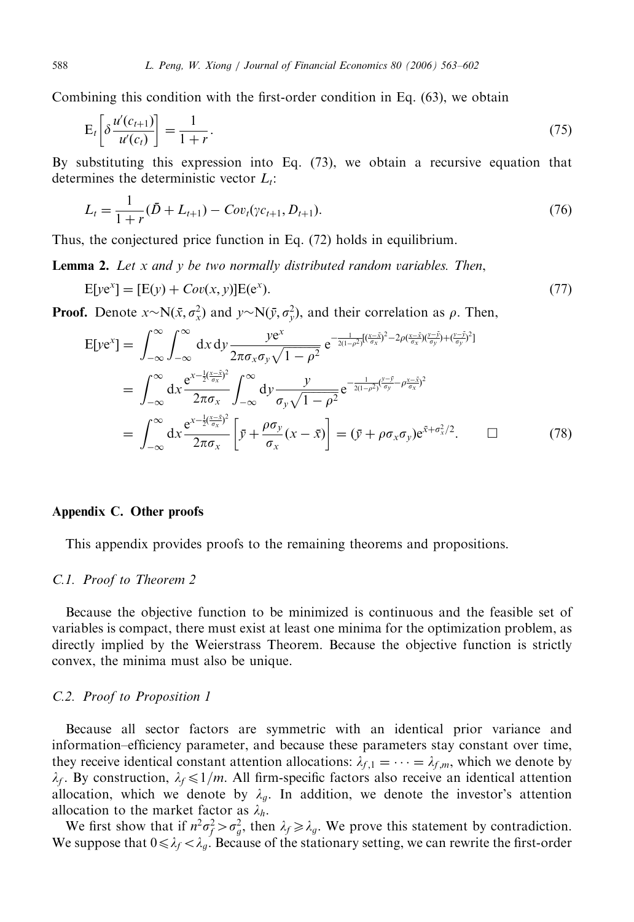Combining this condition with the first-order condition in Eq. (63), we obtain

$$
\mathcal{E}_t\left[\delta \frac{u'(c_{t+1})}{u'(c_t)}\right] = \frac{1}{1+r}.\tag{75}
$$

By substituting this expression into Eq. (73), we obtain a recursive equation that determines the deterministic vector  $L_t$ :

$$
L_t = \frac{1}{1+r}(\bar{D} + L_{t+1}) - Cov_t(\gamma c_{t+1}, D_{t+1}).
$$
\n(76)

Thus, the conjectured price function in Eq. (72) holds in equilibrium.

**Lemma 2.** Let x and y be two normally distributed random variables. Then,

$$
E[ye^{x}] = [E(y) + Cov(x, y)]E(e^{x}).
$$
\n(77)

**Proof.** Denote  $x \sim N(\bar{x}, \sigma_x^2)$  and  $y \sim N(\bar{y}, \sigma_y^2)$ , and their correlation as  $\rho$ . Then,

$$
E[\mathbf{y}e^{x}] = \int_{-\infty}^{\infty} \int_{-\infty}^{\infty} dx \, dy \frac{\mathbf{y}e^{x}}{2\pi\sigma_{x}\sigma_{y}\sqrt{1-\rho^{2}}} e^{-\frac{1}{2(1-\rho^{2}}[(\frac{x-\bar{x}}{\sigma_{x}})^{2} - 2\rho(\frac{x-\bar{x}}{\sigma_{x}})(\frac{y-\bar{y}}{\sigma_{y}}) + (\frac{y-\bar{y}}{\sigma_{y}})^{2}]}
$$
  
\n
$$
= \int_{-\infty}^{\infty} dx \frac{e^{x-\frac{1}{2}(\frac{x-\bar{x}}{\sigma_{x}})^{2}}}{2\pi\sigma_{x}} \int_{-\infty}^{\infty} dy \frac{y}{\sigma_{y}\sqrt{1-\rho^{2}}} e^{-\frac{1}{2(1-\rho^{2})}(\frac{y-\bar{y}}{\sigma_{y}} - \rho\frac{x-\bar{x}}{\sigma_{x}})^{2}}
$$
  
\n
$$
= \int_{-\infty}^{\infty} dx \frac{e^{x-\frac{1}{2}(\frac{x-\bar{x}}{\sigma_{x}})^{2}}}{2\pi\sigma_{x}} \left[\bar{y} + \frac{\rho\sigma_{y}}{\sigma_{x}}(x-\bar{x})\right] = (\bar{y} + \rho\sigma_{x}\sigma_{y})e^{\bar{x} + \sigma_{x}^{2}/2}. \quad \Box \qquad (78)
$$

## Appendix C. Other proofs

This appendix provides proofs to the remaining theorems and propositions.

## C.1. Proof to Theorem 2

Because the objective function to be minimized is continuous and the feasible set of variables is compact, there must exist at least one minima for the optimization problem, as directly implied by the Weierstrass Theorem. Because the objective function is strictly convex, the minima must also be unique.

# C.2. Proof to Proposition 1

Because all sector factors are symmetric with an identical prior variance and information–efficiency parameter, and because these parameters stay constant over time, they receive identical constant attention allocations:  $\lambda_{f,1} = \cdots = \lambda_{f,m}$ , which we denote by  $\lambda_f$ . By construction,  $\lambda_f \leq 1/m$ . All firm-specific factors also receive an identical attention allocation, which we denote by  $\lambda_q$ . In addition, we denote the investor's attention allocation to the market factor as  $\lambda_h$ .

We first show that if  $n^2\sigma_f^2 > \sigma_g^2$ , then  $\lambda_f \ge \lambda_g$ . We prove this statement by contradiction. We suppose that  $0 \le \lambda_f < \lambda_g$ . Because of the stationary setting, we can rewrite the first-order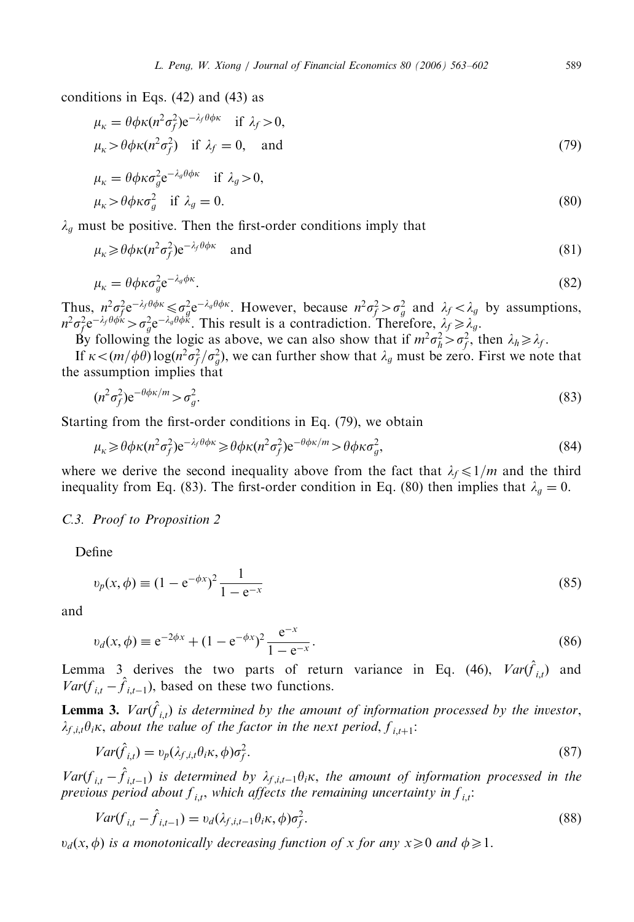conditions in Eqs. (42) and (43) as

$$
\mu_{\kappa} = \theta \phi \kappa (n^2 \sigma_f^2) e^{-\lambda_f \theta \phi \kappa} \quad \text{if } \lambda_f > 0,
$$
  

$$
\mu_{\kappa} > \theta \phi \kappa (n^2 \sigma_f^2) \quad \text{if } \lambda_f = 0, \quad \text{and}
$$
 (79)

$$
\mu_{\kappa} = \theta \phi \kappa \sigma_g^2 e^{-\lambda_g \theta \phi \kappa} \quad \text{if } \lambda_g > 0, \n\mu_{\kappa} > \theta \phi \kappa \sigma_g^2 \quad \text{if } \lambda_g = 0.
$$
\n(80)

 $\lambda_q$  must be positive. Then the first-order conditions imply that

$$
\mu_{\kappa} \ge \theta \phi \kappa (n^2 \sigma_f^2) e^{-\lambda_f \theta \phi \kappa} \quad \text{and} \tag{81}
$$

$$
\mu_{\kappa} = \theta \phi \kappa \sigma_g^2 e^{-\lambda_g \phi \kappa}.
$$
\n(82)

Thus,  $n^2 \sigma_f^2 e^{-\lambda_f \theta \phi \kappa} \leq \sigma_g^2 e^{-\lambda_g \theta \phi \kappa}$ . However, because  $n^2 \sigma_f^2 > \sigma_g^2$  and  $\lambda_f < \lambda_g$  by assumptions,  $n^2\sigma_f^2 e^{-\lambda_f \theta \phi \kappa} > \sigma_g^2 e^{-\lambda_g \theta \phi \kappa}$ . This result is a contradiction. Therefore,  $\lambda_f \ge \lambda_g$ .

By following the logic as above, we can also show that if  $m^2\sigma_h^2 > \sigma_f^2$ , then  $\lambda_h \ge \lambda_f$ .

If  $\kappa < (m/\phi\theta) \log(n^2 \sigma_f^2/\sigma_g^2)$ , we can further show that  $\lambda_g$  must be zero. First we note that the assumption implies that

$$
(n^2 \sigma_f^2) e^{-\theta \phi \kappa/m} > \sigma_g^2. \tag{83}
$$

Starting from the first-order conditions in Eq. (79), we obtain

$$
\mu_{\kappa} \ge \theta \phi \kappa (n^2 \sigma_f^2) e^{-\lambda_f \theta \phi \kappa} \ge \theta \phi \kappa (n^2 \sigma_f^2) e^{-\theta \phi \kappa / m} > \theta \phi \kappa \sigma_g^2, \tag{84}
$$

where we derive the second inequality above from the fact that  $\lambda_f \leq 1/m$  and the third inequality from Eq. (83). The first-order condition in Eq. (80) then implies that  $\lambda_q = 0$ .

## C.3. Proof to Proposition 2

Define

$$
v_p(x,\phi) \equiv (1 - e^{-\phi x})^2 \frac{1}{1 - e^{-x}}
$$
\n(85)

and

$$
v_d(x,\phi) \equiv e^{-2\phi x} + (1 - e^{-\phi x})^2 \frac{e^{-x}}{1 - e^{-x}}.
$$
\n(86)

Lemma 3 derives the two parts of return variance in Eq. (46),  $Var(\hat{f}_{i,t})$  and  $Var(f_{i,t} - \hat{f}_{i,t-1})$ , based on these two functions.

**Lemma 3.** Var $(\hat{f}_{i,t})$  is determined by the amount of information processed by the investor,  $\lambda_{f,i,t}\theta_i\kappa$ , about the value of the factor in the next period,  $f_{i,t+1}$ :

$$
Var(\hat{f}_{i,t}) = v_p(\lambda_{f,i,t}\theta_i\kappa, \phi)\sigma_f^2.
$$
\n(87)

 $Var(f_{i,t} - \hat{f}_{i,t-1})$  is determined by  $\lambda_{f,i,t-1}\theta_i\kappa$ , the amount of information processed in the previous period about  $f_{i,t}$ , which affects the remaining uncertainty in  $f_{i,t}$ :

$$
Var(f_{i,t} - \hat{f}_{i,t-1}) = v_d(\lambda_{f,i,t-1}\theta_i\kappa, \phi)\sigma_f^2.
$$
\n(88)

 $v_d(x, \phi)$  is a monotonically decreasing function of x for any  $x \geq 0$  and  $\phi \geq 1$ .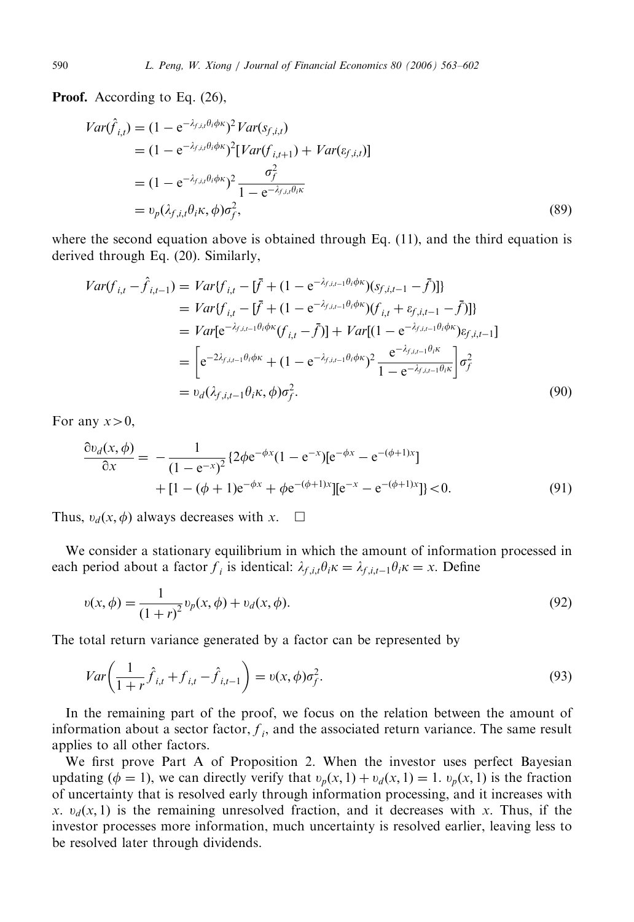Proof. According to Eq. (26),

$$
Var(\hat{f}_{i,t}) = (1 - e^{-\lambda_{f,i,t}\theta_i \phi_K})^2 Var(s_{f,i,t})
$$
  
=  $(1 - e^{-\lambda_{f,i,t}\theta_i \phi_K})^2 [Var(f_{i,t+1}) + Var(\varepsilon_{f,i,t})]$   
=  $(1 - e^{-\lambda_{f,i,t}\theta_i \phi_K})^2 \frac{\sigma_f^2}{1 - e^{-\lambda_{f,i,t}\theta_i \kappa}}$   
=  $v_p(\lambda_{f,i,t}\theta_i \kappa, \phi)\sigma_f^2$ , (89)

where the second equation above is obtained through Eq. (11), and the third equation is derived through Eq. (20). Similarly,

$$
Var(f_{i,t} - \hat{f}_{i,t-1}) = Var\{f_{i,t} - [\bar{f} + (1 - e^{-\lambda_{f,i,t-1}\theta_i\phi_K})(s_{f,i,t-1} - \bar{f})]\}
$$
  
\n
$$
= Var\{f_{i,t} - [\bar{f} + (1 - e^{-\lambda_{f,i,t-1}\theta_i\phi_K})(f_{i,t} + s_{f,i,t-1} - \bar{f})]\}
$$
  
\n
$$
= Var[e^{-\lambda_{f,i,t-1}\theta_i\phi_K}(f_{i,t} - \bar{f})] + Var[(1 - e^{-\lambda_{f,i,t-1}\theta_i\phi_K})\varepsilon_{f,i,t-1}]
$$
  
\n
$$
= \left[e^{-2\lambda_{f,i,t-1}\theta_i\phi_K} + (1 - e^{-\lambda_{f,i,t-1}\theta_i\phi_K})^2 \frac{e^{-\lambda_{f,i,t-1}\theta_i\kappa}}{1 - e^{-\lambda_{f,i,t-1}\theta_i\kappa}}\right] \sigma_f^2
$$
  
\n
$$
= v_d(\lambda_{f,i,t-1}\theta_i\kappa, \phi)\sigma_f^2.
$$
\n(90)

For any  $x>0$ ,

$$
\frac{\partial v_d(x,\phi)}{\partial x} = -\frac{1}{(1 - e^{-x})^2} \{ 2\phi e^{-\phi x} (1 - e^{-x}) [e^{-\phi x} - e^{-(\phi + 1)x}] + [1 - (\phi + 1)e^{-\phi x} + \phi e^{-(\phi + 1)x}] [e^{-x} - e^{-(\phi + 1)x}] \} < 0.
$$
\n(91)

Thus,  $v_d(x, \phi)$  always decreases with x.  $\Box$ 

We consider a stationary equilibrium in which the amount of information processed in each period about a factor f; is identical:  $\lambda_{f,i,t} \theta_i \kappa = \lambda_{f,i,t-1} \theta_i \kappa = x$ . Define

$$
v(x, \phi) = \frac{1}{(1+r)^2} v_p(x, \phi) + v_d(x, \phi).
$$
 (92)

The total return variance generated by a factor can be represented by

$$
Var\left(\frac{1}{1+r}\hat{f}_{i,t} + f_{i,t} - \hat{f}_{i,t-1}\right) = v(x,\phi)\sigma_f^2.
$$
\n(93)

In the remaining part of the proof, we focus on the relation between the amount of information about a sector factor,  $f_i$ , and the associated return variance. The same result applies to all other factors.

We first prove Part A of Proposition 2. When the investor uses perfect Bayesian updating  $(\phi = 1)$ , we can directly verify that  $v_p(x, 1) + v_d(x, 1) = 1$ .  $v_p(x, 1)$  is the fraction of uncertainty that is resolved early through information processing, and it increases with x.  $v_d(x, 1)$  is the remaining unresolved fraction, and it decreases with x. Thus, if the investor processes more information, much uncertainty is resolved earlier, leaving less to be resolved later through dividends.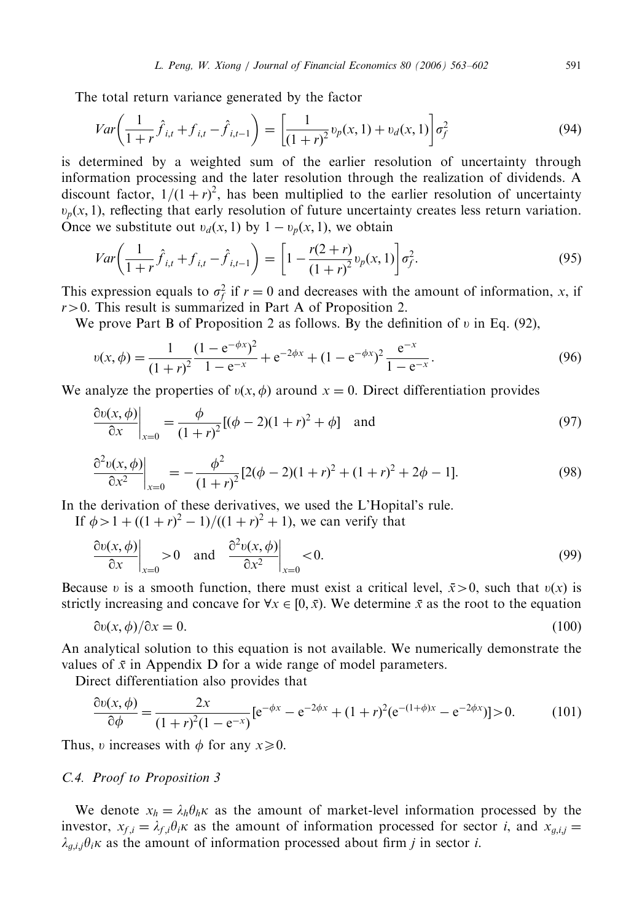The total return variance generated by the factor

$$
Var\left(\frac{1}{1+r}\hat{f}_{i,t} + f_{i,t} - \hat{f}_{i,t-1}\right) = \left[\frac{1}{(1+r)^2}v_p(x,1) + v_d(x,1)\right]\sigma_f^2\tag{94}
$$

is determined by a weighted sum of the earlier resolution of uncertainty through information processing and the later resolution through the realization of dividends. A discount factor,  $1/(1 + r)^2$ , has been multiplied to the earlier resolution of uncertainty  $v_p(x, 1)$ , reflecting that early resolution of future uncertainty creates less return variation. Once we substitute out  $v_d(x, 1)$  by  $1 - v_p(x, 1)$ , we obtain

$$
Var\left(\frac{1}{1+r}\hat{f}_{i,t} + f_{i,t} - \hat{f}_{i,t-1}\right) = \left[1 - \frac{r(2+r)}{(1+r)^2}v_p(x,1)\right]\sigma_f^2.
$$
\n(95)

This expression equals to  $\sigma_f^2$  if  $r = 0$  and decreases with the amount of information, x, if  $r>0$ . This result is summarized in Part A of Proposition 2.

We prove Part B of Proposition 2 as follows. By the definition of  $v$  in Eq. (92),

$$
v(x,\phi) = \frac{1}{(1+r)^2} \frac{(1-e^{-\phi x})^2}{1-e^{-x}} + e^{-2\phi x} + (1-e^{-\phi x})^2 \frac{e^{-x}}{1-e^{-x}}.
$$
(96)

We analyze the properties of  $v(x, \phi)$  around  $x = 0$ . Direct differentiation provides

$$
\left. \frac{\partial v(x, \phi)}{\partial x} \right|_{x=0} = \frac{\phi}{(1+r)^2} [(\phi - 2)(1+r)^2 + \phi] \text{ and } (97)
$$

$$
\left. \frac{\partial^2 v(x, \phi)}{\partial x^2} \right|_{x=0} = -\frac{\phi^2}{(1+r)^2} [2(\phi - 2)(1+r)^2 + (1+r)^2 + 2\phi - 1]. \tag{98}
$$

In the derivation of these derivatives, we used the L'Hopital's rule.

If  $\phi > 1 + ((1+r)^2 - 1) / ((1+r)^2 + 1)$ , we can verify that

$$
\left. \frac{\partial v(x, \phi)}{\partial x} \right|_{x=0} > 0 \quad \text{and} \quad \left. \frac{\partial^2 v(x, \phi)}{\partial x^2} \right|_{x=0} < 0. \tag{99}
$$

Because v is a smooth function, there must exist a critical level,  $\bar{x} > 0$ , such that  $v(x)$  is strictly increasing and concave for  $\forall x \in [0, \bar{x})$ . We determine  $\bar{x}$  as the root to the equation

$$
\partial v(x,\phi)/\partial x = 0. \tag{100}
$$

An analytical solution to this equation is not available. We numerically demonstrate the values of  $\bar{x}$  in Appendix D for a wide range of model parameters.

Direct differentiation also provides that

$$
\frac{\partial v(x,\phi)}{\partial \phi} = \frac{2x}{(1+r)^2(1-e^{-x})} [e^{-\phi x} - e^{-2\phi x} + (1+r)^2 (e^{-(1+\phi)x} - e^{-2\phi x})] > 0.
$$
 (101)

Thus, v increases with  $\phi$  for any  $x \ge 0$ .

## C.4. Proof to Proposition 3

We denote  $x_h = \lambda_h \theta_h \kappa$  as the amount of market-level information processed by the investor,  $x_{f,i} = \lambda_{f,i} \theta_{i} \kappa$  as the amount of information processed for sector i, and  $x_{g,i,j} = \lambda_{f,i} \theta_{i} \kappa$  $\lambda_{q,i,j}\theta_i\kappa$  as the amount of information processed about firm *j* in sector *i*.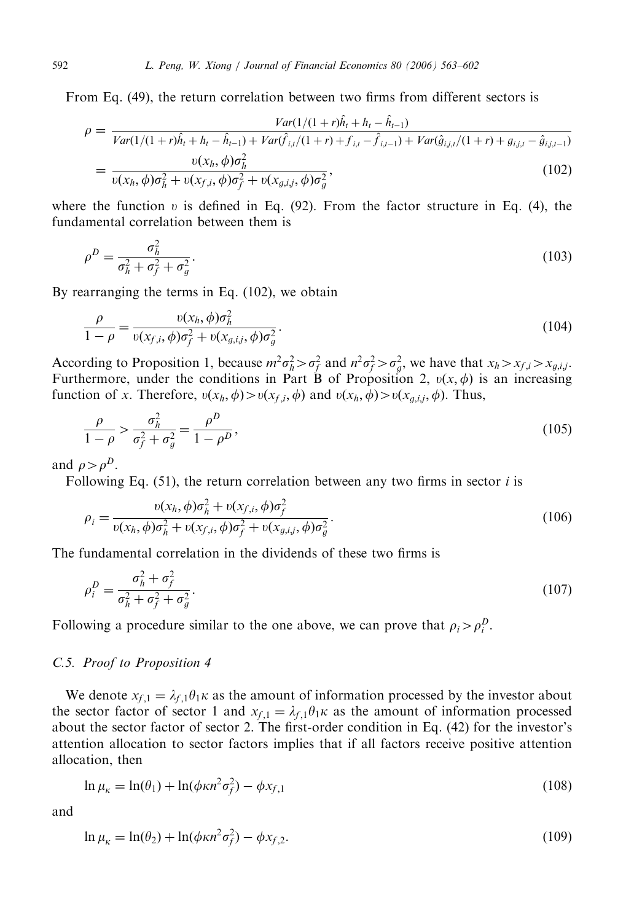From Eq. (49), the return correlation between two firms from different sectors is

$$
\rho = \frac{Var(1/(1+r)\hat{h}_t + h_t - \hat{h}_{t-1})}{Var(1/(1+r)\hat{h}_t + h_t - \hat{h}_{t-1}) + Var(\hat{f}_{i,t}/(1+r) + f_{i,t} - \hat{f}_{i,t-1}) + Var(\hat{g}_{i,j,t}/(1+r) + g_{i,j,t} - \hat{g}_{i,j,t-1})}
$$
\n
$$
= \frac{v(x_h, \phi)\sigma_h^2}{v(x_h, \phi)\sigma_h^2 + v(x_{f,i}, \phi)\sigma_f^2 + v(x_{g,i,j}, \phi)\sigma_g^2},
$$
\n(102)

where the function v is defined in Eq. (92). From the factor structure in Eq. (4), the fundamental correlation between them is

$$
\rho^D = \frac{\sigma_h^2}{\sigma_h^2 + \sigma_f^2 + \sigma_g^2}.\tag{103}
$$

By rearranging the terms in Eq. (102), we obtain

$$
\frac{\rho}{1-\rho} = \frac{v(x_h, \phi)\sigma_h^2}{v(x_{f,i}, \phi)\sigma_f^2 + v(x_{g,i,j}, \phi)\sigma_g^2}.
$$
\n(104)

According to Proposition 1, because  $m^2\sigma_h^2 > \sigma_f^2$  and  $n^2\sigma_f^2 > \sigma_g^2$ , we have that  $x_h > x_{f,i} > x_{g,i,j}$ . Furthermore, under the conditions in Part B of Proposition 2,  $v(x, \phi)$  is an increasing function of x. Therefore,  $v(x_h, \phi) > v(x_{f,i}, \phi)$  and  $v(x_h, \phi) > v(x_{g,i,i}, \phi)$ . Thus,

$$
\frac{\rho}{1-\rho} > \frac{\sigma_h^2}{\sigma_f^2 + \sigma_g^2} = \frac{\rho^D}{1-\rho^D},
$$
\n(105)

and  $\rho > \rho^D$ .

Following Eq.  $(51)$ , the return correlation between any two firms in sector *i* is

$$
\rho_i = \frac{v(x_h, \phi)\sigma_h^2 + v(x_{f,i}, \phi)\sigma_f^2}{v(x_h, \phi)\sigma_h^2 + v(x_{f,i}, \phi)\sigma_f^2 + v(x_{g,i,j}, \phi)\sigma_g^2}.
$$
\n(106)

The fundamental correlation in the dividends of these two firms is

$$
\rho_i^D = \frac{\sigma_h^2 + \sigma_f^2}{\sigma_h^2 + \sigma_f^2 + \sigma_g^2}.
$$
\n(107)

Following a procedure similar to the one above, we can prove that  $\rho_i > \rho_i^D$ .

## C.5. Proof to Proposition 4

We denote  $x_{f,1} = \lambda_{f,1} \theta_1 \kappa$  as the amount of information processed by the investor about the sector factor of sector 1 and  $x_{f,1} = \lambda_{f,1} \theta_1 \kappa$  as the amount of information processed about the sector factor of sector 2. The first-order condition in Eq. (42) for the investor's attention allocation to sector factors implies that if all factors receive positive attention allocation, then

$$
\ln \mu_{\kappa} = \ln(\theta_1) + \ln(\phi \kappa n^2 \sigma_f^2) - \phi x_{f,1} \tag{108}
$$

and

$$
\ln \mu_{\kappa} = \ln(\theta_2) + \ln(\phi \kappa n^2 \sigma_f^2) - \phi x_{f,2}.
$$
 (109)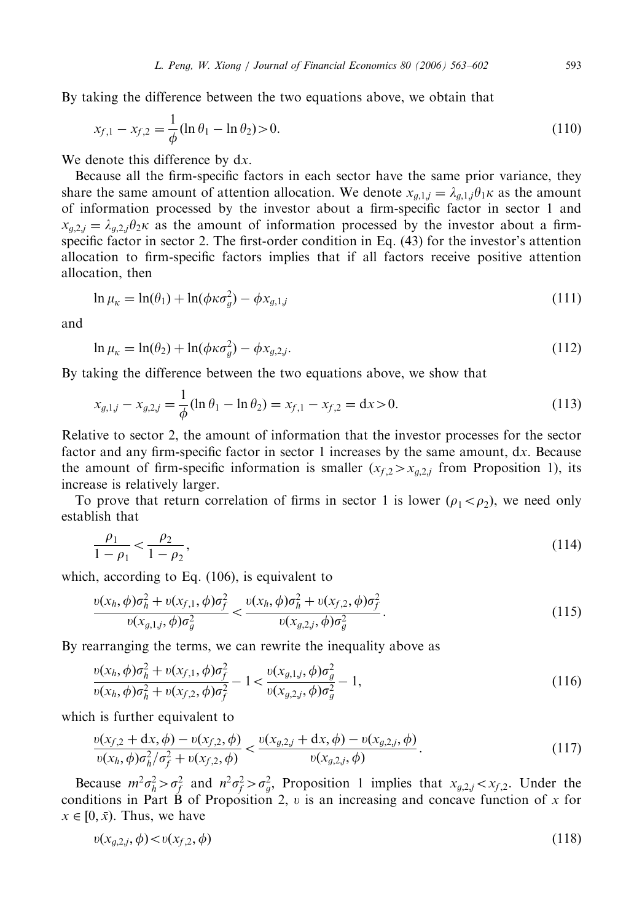By taking the difference between the two equations above, we obtain that

$$
x_{f,1} - x_{f,2} = \frac{1}{\phi} (\ln \theta_1 - \ln \theta_2) > 0.
$$
 (110)

We denote this difference by  $dx$ .

Because all the firm-specific factors in each sector have the same prior variance, they share the same amount of attention allocation. We denote  $x_{q,1,j} = \lambda_{q,1,j} \theta_{1,k}$  as the amount of information processed by the investor about a firm-specific factor in sector 1 and  $x_{q,2,j} = \lambda_{q,2,j} \theta_2 \kappa$  as the amount of information processed by the investor about a firmspecific factor in sector 2. The first-order condition in Eq. (43) for the investor's attention allocation to firm-specific factors implies that if all factors receive positive attention allocation, then

$$
\ln \mu_{\kappa} = \ln(\theta_1) + \ln(\phi \kappa \sigma_g^2) - \phi x_{g,1,j} \tag{111}
$$

and

$$
\ln \mu_{\kappa} = \ln(\theta_2) + \ln(\phi \kappa \sigma_g^2) - \phi x_{g,2,j}.
$$
\n(112)

By taking the difference between the two equations above, we show that

$$
x_{g,1,j} - x_{g,2,j} = \frac{1}{\phi} (\ln \theta_1 - \ln \theta_2) = x_{f,1} - x_{f,2} = dx > 0.
$$
 (113)

Relative to sector 2, the amount of information that the investor processes for the sector factor and any firm-specific factor in sector 1 increases by the same amount, dx. Because the amount of firm-specific information is smaller  $(x_f, z \ge x_a, z_i)$  from Proposition 1), its increase is relatively larger.

To prove that return correlation of firms in sector 1 is lower  $(\rho_1 < \rho_2)$ , we need only establish that

$$
\frac{\rho_1}{1 - \rho_1} < \frac{\rho_2}{1 - \rho_2},\tag{114}
$$

which, according to Eq. (106), is equivalent to

$$
\frac{v(x_h, \phi)\sigma_h^2 + v(x_{f,1}, \phi)\sigma_f^2}{v(x_{g,1,j}, \phi)\sigma_g^2} < \frac{v(x_h, \phi)\sigma_h^2 + v(x_{f,2}, \phi)\sigma_f^2}{v(x_{g,2,j}, \phi)\sigma_g^2}.\tag{115}
$$

By rearranging the terms, we can rewrite the inequality above as

$$
\frac{v(x_h, \phi)\sigma_h^2 + v(x_{f,1}, \phi)\sigma_f^2}{v(x_h, \phi)\sigma_h^2 + v(x_{f,2}, \phi)\sigma_f^2} - 1 < \frac{v(x_{g,1,j}, \phi)\sigma_g^2}{v(x_{g,2,j}, \phi)\sigma_g^2} - 1,\tag{116}
$$

which is further equivalent to

$$
\frac{v(x_{f,2} + dx, \phi) - v(x_{f,2}, \phi)}{v(x_h, \phi)\sigma_h^2/\sigma_f^2 + v(x_{f,2}, \phi)} < \frac{v(x_{g,2,j} + dx, \phi) - v(x_{g,2,j}, \phi)}{v(x_{g,2,j}, \phi)}.
$$
\n(117)

Because  $m^2\sigma_h^2 > \sigma_f^2$  and  $n^2\sigma_f^2 > \sigma_g^2$ , Proposition 1 implies that  $x_{g,2,j} < x_{f,2}$ . Under the conditions in Part B of Proposition 2, v is an increasing and concave function of x for  $x \in [0, \bar{x})$ . Thus, we have

$$
v(x_{g,2,j},\phi) < v(x_{f,2},\phi) \tag{118}
$$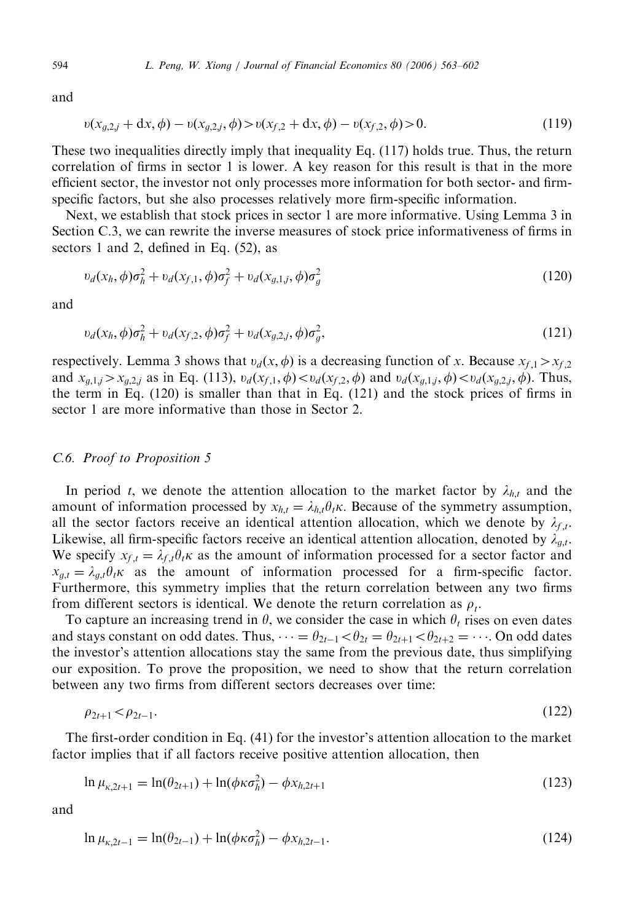and

$$
v(x_{g,2,j} + dx, \phi) - v(x_{g,2,j}, \phi) > v(x_{f,2} + dx, \phi) - v(x_{f,2}, \phi) > 0.
$$
\n(119)

These two inequalities directly imply that inequality Eq. (117) holds true. Thus, the return correlation of firms in sector 1 is lower. A key reason for this result is that in the more efficient sector, the investor not only processes more information for both sector- and firmspecific factors, but she also processes relatively more firm-specific information.

Next, we establish that stock prices in sector 1 are more informative. Using Lemma 3 in Section C.3, we can rewrite the inverse measures of stock price informativeness of firms in sectors 1 and 2, defined in Eq. (52), as

$$
v_d(x_h, \phi)\sigma_h^2 + v_d(x_{f,1}, \phi)\sigma_f^2 + v_d(x_{g,1,j}, \phi)\sigma_g^2
$$
\n(120)

and

$$
\upsilon_d(x_h, \phi)\sigma_h^2 + \upsilon_d(x_{f,2}, \phi)\sigma_f^2 + \upsilon_d(x_{g,2,j}, \phi)\sigma_g^2, \tag{121}
$$

respectively. Lemma 3 shows that  $v_d(x, \phi)$  is a decreasing function of x. Because  $x_{f,1} > x_{f,2}$ and  $x_{q,1,j} > x_{q,2,j}$  as in Eq. (113),  $v_d(x_{f,1}, \phi) < v_d(x_{f,2}, \phi)$  and  $v_d(x_{q,1,j}, \phi) < v_d(x_{q,2,j}, \phi)$ . Thus, the term in Eq. (120) is smaller than that in Eq. (121) and the stock prices of firms in sector 1 are more informative than those in Sector 2.

## C.6. Proof to Proposition 5

In period t, we denote the attention allocation to the market factor by  $\lambda_{h,t}$  and the amount of information processed by  $x_{h,t} = \lambda_{h,t} \theta_t \kappa$ . Because of the symmetry assumption, all the sector factors receive an identical attention allocation, which we denote by  $\lambda_{f,t}$ . Likewise, all firm-specific factors receive an identical attention allocation, denoted by  $\lambda_{a,t}$ . We specify  $x_{f,t} = \lambda_{f,t} \theta_t \kappa$  as the amount of information processed for a sector factor and  $x_{a,t} = \lambda_{a,t} \theta_t \kappa$  as the amount of information processed for a firm-specific factor. Furthermore, this symmetry implies that the return correlation between any two firms from different sectors is identical. We denote the return correlation as  $\rho_t$ .

To capture an increasing trend in  $\theta$ , we consider the case in which  $\theta_t$  rises on even dates and stays constant on odd dates. Thus,  $\cdots = \theta_{2t-1} < \theta_{2t} = \theta_{2t+1} < \theta_{2t+2} = \cdots$ . On odd dates the investor's attention allocations stay the same from the previous date, thus simplifying our exposition. To prove the proposition, we need to show that the return correlation between any two firms from different sectors decreases over time:

$$
\rho_{2t+1} < \rho_{2t-1}.\tag{122}
$$

The first-order condition in Eq. (41) for the investor's attention allocation to the market factor implies that if all factors receive positive attention allocation, then

$$
\ln \mu_{\kappa,2t+1} = \ln(\theta_{2t+1}) + \ln(\phi \kappa \sigma_h^2) - \phi x_{h,2t+1}
$$
\n(123)

and

$$
\ln \mu_{\kappa,2t-1} = \ln(\theta_{2t-1}) + \ln(\phi \kappa \sigma_h^2) - \phi x_{h,2t-1}.
$$
\n(124)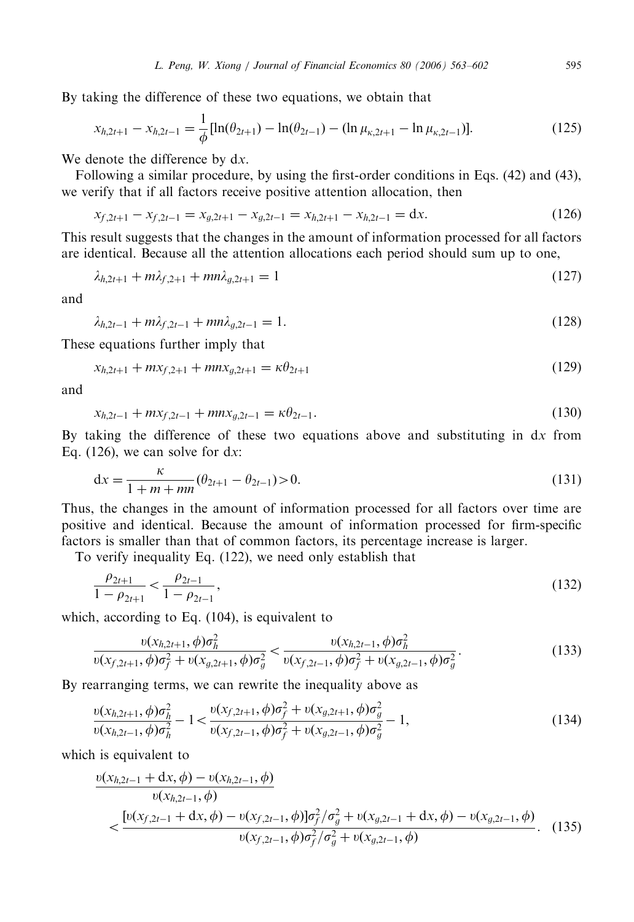By taking the difference of these two equations, we obtain that

$$
x_{h,2t+1} - x_{h,2t-1} = \frac{1}{\phi} [\ln(\theta_{2t+1}) - \ln(\theta_{2t-1}) - (\ln \mu_{\kappa,2t+1} - \ln \mu_{\kappa,2t-1})]. \tag{125}
$$

We denote the difference by dx.

Following a similar procedure, by using the first-order conditions in Eqs. (42) and (43), we verify that if all factors receive positive attention allocation, then

$$
x_{f,2t+1} - x_{f,2t-1} = x_{g,2t+1} - x_{g,2t-1} = x_{h,2t+1} - x_{h,2t-1} = dx.
$$
\n(126)

This result suggests that the changes in the amount of information processed for all factors are identical. Because all the attention allocations each period should sum up to one,

$$
\lambda_{h,2t+1} + m\lambda_{f,2+1} + mn\lambda_{g,2t+1} = 1 \tag{127}
$$

and

$$
\lambda_{h,2t-1} + m\lambda_{f,2t-1} + mn\lambda_{g,2t-1} = 1. \tag{128}
$$

These equations further imply that

$$
x_{h,2t+1} + mx_{f,2+1} + mn x_{g,2t+1} = \kappa \theta_{2t+1}
$$
\n(129)

and

$$
x_{h,2t-1} + mx_{f,2t-1} + mn x_{g,2t-1} = \kappa \theta_{2t-1}.
$$
\n(130)

By taking the difference of these two equations above and substituting in dx from Eq. (126), we can solve for  $dx$ :

$$
dx = \frac{\kappa}{1 + m + mn} (\theta_{2t+1} - \theta_{2t-1}) > 0.
$$
\n(131)

Thus, the changes in the amount of information processed for all factors over time are positive and identical. Because the amount of information processed for firm-specific factors is smaller than that of common factors, its percentage increase is larger.

To verify inequality Eq. (122), we need only establish that

$$
\frac{\rho_{2t+1}}{1-\rho_{2t+1}} < \frac{\rho_{2t-1}}{1-\rho_{2t-1}},\tag{132}
$$

which, according to Eq. (104), is equivalent to

$$
\frac{v(x_{h,2t+1}, \phi)\sigma_h^2}{v(x_{f,2t+1}, \phi)\sigma_f^2 + v(x_{g,2t+1}, \phi)\sigma_g^2} < \frac{v(x_{h,2t-1}, \phi)\sigma_h^2}{v(x_{f,2t-1}, \phi)\sigma_f^2 + v(x_{g,2t-1}, \phi)\sigma_g^2}.
$$
\n(133)

By rearranging terms, we can rewrite the inequality above as

$$
\frac{v(x_{h,2t+1}, \phi)\sigma_h^2}{v(x_{h,2t-1}, \phi)\sigma_h^2} - 1 < \frac{v(x_{f,2t+1}, \phi)\sigma_f^2 + v(x_{g,2t+1}, \phi)\sigma_g^2}{v(x_{f,2t-1}, \phi)\sigma_f^2 + v(x_{g,2t-1}, \phi)\sigma_g^2} - 1,\tag{134}
$$

which is equivalent to

$$
\frac{v(x_{h,2t-1} + dx, \phi) - v(x_{h,2t-1}, \phi)}{v(x_{h,2t-1}, \phi)}
$$
\n
$$
< \frac{[v(x_{f,2t-1} + dx, \phi) - v(x_{f,2t-1}, \phi)]\sigma_f^2/\sigma_g^2 + v(x_{g,2t-1} + dx, \phi) - v(x_{g,2t-1}, \phi)}{v(x_{f,2t-1}, \phi)\sigma_f^2/\sigma_g^2 + v(x_{g,2t-1}, \phi)}.
$$
\n(135)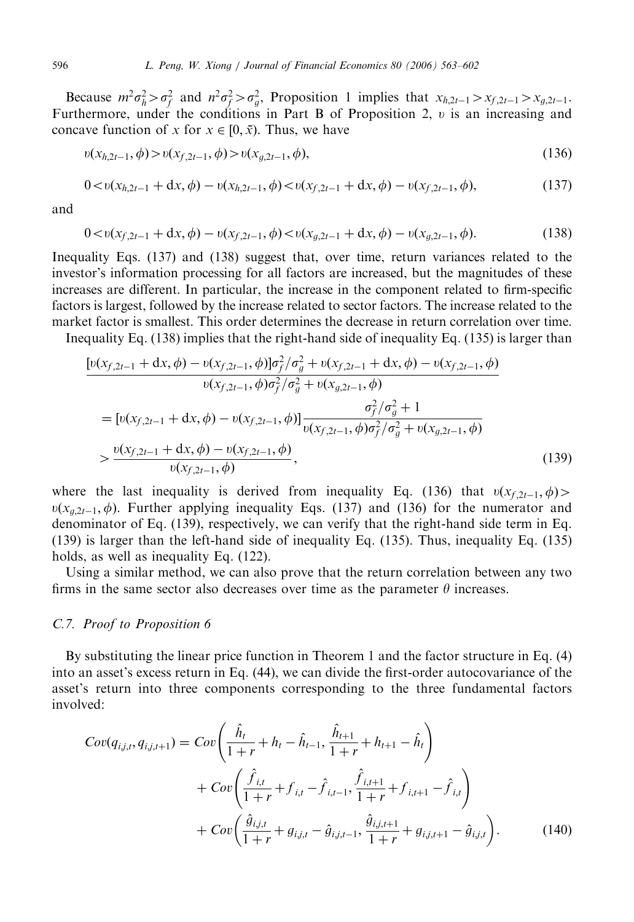Because  $m^2\sigma_h^2 > \sigma_f^2$  and  $n^2\sigma_f^2 > \sigma_g^2$ , Proposition 1 implies that  $x_{h,2t-1} > x_{f,2t-1} > x_{g,2t-1}$ . Furthermore, under the conditions in Part B of Proposition 2,  $v$  is an increasing and concave function of x for  $x \in [0, \bar{x})$ . Thus, we have

$$
v(x_{h,2t-1},\phi) > v(x_{f,2t-1},\phi) > v(x_{g,2t-1},\phi),
$$
\n(136)

$$
0 < v(x_{h,2t-1} + dx, \phi) - v(x_{h,2t-1}, \phi) < v(x_{f,2t-1} + dx, \phi) - v(x_{f,2t-1}, \phi),\tag{137}
$$

and

$$
0 < v(x_{f,2t-1} + dx, \phi) - v(x_{f,2t-1}, \phi) < v(x_{g,2t-1} + dx, \phi) - v(x_{g,2t-1}, \phi). \tag{138}
$$

Inequality Eqs. (137) and (138) suggest that, over time, return variances related to the investor's information processing for all factors are increased, but the magnitudes of these increases are different. In particular, the increase in the component related to firm-specific factors is largest, followed by the increase related to sector factors. The increase related to the market factor is smallest. This order determines the decrease in return correlation over time.

Inequality Eq. (138) implies that the right-hand side of inequality Eq. (135) is larger than

$$
\frac{[v(x_{f,2t-1} + dx, \phi) - v(x_{f,2t-1}, \phi)]\sigma_f^2/\sigma_g^2 + v(x_{f,2t-1} + dx, \phi) - v(x_{f,2t-1}, \phi)}{v(x_{f,2t-1}, \phi)\sigma_f^2/\sigma_g^2 + v(x_{g,2t-1}, \phi)}
$$
\n
$$
= [v(x_{f,2t-1} + dx, \phi) - v(x_{f,2t-1}, \phi)] \frac{\sigma_f^2/\sigma_g^2 + 1}{v(x_{f,2t-1}, \phi)\sigma_f^2/\sigma_g^2 + v(x_{g,2t-1}, \phi)}
$$
\n
$$
> \frac{v(x_{f,2t-1} + dx, \phi) - v(x_{f,2t-1}, \phi)}{v(x_{f,2t-1}, \phi)},
$$
\n(139)

where the last inequality is derived from inequality Eq. (136) that  $v(x_{f,2t-1}, \phi)$  $v(x_{a,2t-1}, \phi)$ . Further applying inequality Eqs. (137) and (136) for the numerator and denominator of Eq. (139), respectively, we can verify that the right-hand side term in Eq. (139) is larger than the left-hand side of inequality Eq. (135). Thus, inequality Eq. (135) holds, as well as inequality Eq. (122).

Using a similar method, we can also prove that the return correlation between any two firms in the same sector also decreases over time as the parameter  $\theta$  increases.

## C.7. Proof to Proposition 6

By substituting the linear price function in Theorem 1 and the factor structure in Eq. (4) into an asset's excess return in Eq. (44), we can divide the first-order autocovariance of the asset's return into three components corresponding to the three fundamental factors involved:

$$
Cov(q_{i,j,t}, q_{i,j,t+1}) = Cov\left(\frac{\hat{h}_t}{1+r} + h_t - \hat{h}_{t-1}, \frac{\hat{h}_{t+1}}{1+r} + h_{t+1} - \hat{h}_t\right) + Cov\left(\frac{\hat{f}_{i,t}}{1+r} + f_{i,t} - \hat{f}_{i,t-1}, \frac{\hat{f}_{i,t+1}}{1+r} + f_{i,t+1} - \hat{f}_{i,t}\right) + Cov\left(\frac{\hat{g}_{i,j,t}}{1+r} + g_{i,j,t} - \hat{g}_{i,j,t-1}, \frac{\hat{g}_{i,j,t+1}}{1+r} + g_{i,j,t+1} - \hat{g}_{i,j,t}\right).
$$
(140)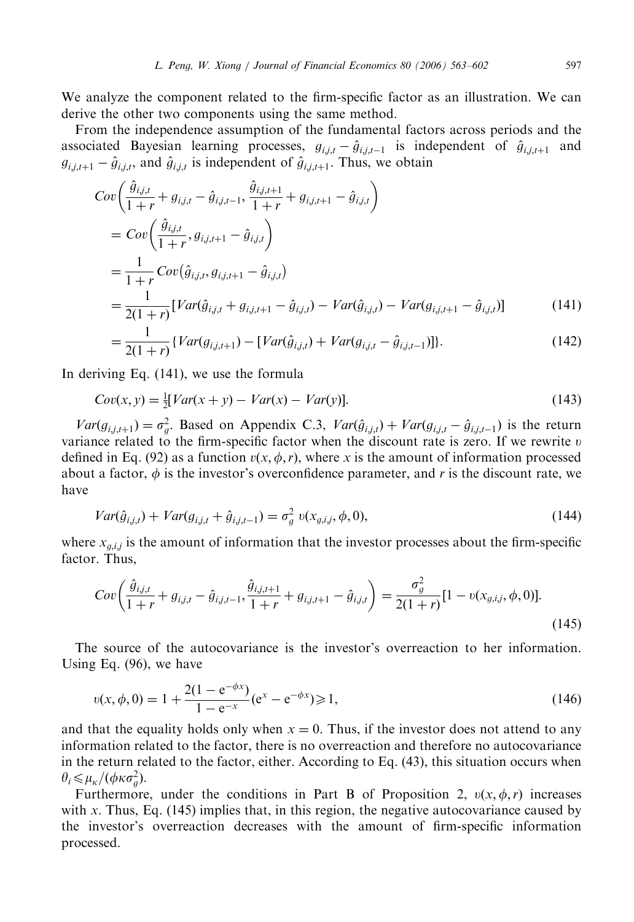We analyze the component related to the firm-specific factor as an illustration. We can derive the other two components using the same method.

From the independence assumption of the fundamental factors across periods and the associated Bayesian learning processes,  $g_{i,j,t} - \hat{g}_{i,j,t-1}$  is independent of  $\hat{g}_{i,j,t+1}$  and  $g_{i,i,t+1} - \hat{g}_{i,i,t}$ , and  $\hat{g}_{i,i,t}$  is independent of  $\hat{g}_{i,i,t+1}$ . Thus, we obtain

$$
Cov\left(\frac{\hat{g}_{i,j,t}}{1+r} + g_{i,j,t} - \hat{g}_{i,j,t-1}, \frac{\hat{g}_{i,j,t+1}}{1+r} + g_{i,j,t+1} - \hat{g}_{i,j,t}\right)
$$
  
=  $Cov\left(\frac{\hat{g}_{i,j,t}}{1+r}, g_{i,j,t+1} - \hat{g}_{i,j,t}\right)$   
=  $\frac{1}{1+r} Cov(\hat{g}_{i,j,t}, g_{i,j,t+1} - \hat{g}_{i,j,t})$   
=  $\frac{1}{2(1+r)} [Var(\hat{g}_{i,j,t} + g_{i,j,t+1} - \hat{g}_{i,j,t}) - Var(\hat{g}_{i,j,t}) - Var(g_{i,j,t+1} - \hat{g}_{i,j,t})]$  (141)  
=  $\frac{1}{2(1+r)} \{Var(g_{i,j,t+1}) - [Var(\hat{g}_{i,j,t}) + Var(g_{i,j,t} - \hat{g}_{i,j,t-1})]\}.$ 

In deriving Eq. (141), we use the formula

$$
Cov(x, y) = \frac{1}{2}[Var(x + y) - Var(x) - Var(y)].
$$
\n(143)

 $Var(g_{i,j,t+1}) = \sigma_g^2$ . Based on Appendix C.3,  $Var(\hat{g}_{i,j,t}) + Var(g_{i,j,t} - \hat{g}_{i,j,t-1})$  is the return variance related to the firm-specific factor when the discount rate is zero. If we rewrite  $\nu$ defined in Eq. (92) as a function  $v(x, \phi, r)$ , where x is the amount of information processed about a factor,  $\phi$  is the investor's overconfidence parameter, and r is the discount rate, we have

$$
Var(\hat{g}_{i,j,t}) + Var(g_{i,j,t} + \hat{g}_{i,j,t-1}) = \sigma_g^2 v(x_{g,i,j}, \phi, 0),
$$
\n(144)

where  $x_{q,i,j}$  is the amount of information that the investor processes about the firm-specific factor. Thus,

$$
Cov\left(\frac{\hat{g}_{i,j,t}}{1+r}+g_{i,j,t}-\hat{g}_{i,j,t-1},\frac{\hat{g}_{i,j,t+1}}{1+r}+g_{i,j,t+1}-\hat{g}_{i,j,t}\right)=\frac{\sigma_g^2}{2(1+r)}[1-v(x_{g,i,j},\phi,0)].
$$
\n(145)

The source of the autocovariance is the investor's overreaction to her information. Using Eq. (96), we have

$$
v(x, \phi, 0) = 1 + \frac{2(1 - e^{-\phi x})}{1 - e^{-x}} (e^{x} - e^{-\phi x}) \ge 1,
$$
\n(146)

and that the equality holds only when  $x = 0$ . Thus, if the investor does not attend to any information related to the factor, there is no overreaction and therefore no autocovariance in the return related to the factor, either. According to Eq. (43), this situation occurs when  $\theta_i \leq \mu_\kappa/(\phi \kappa \sigma_g^2)$ .

Furthermore, under the conditions in Part B of Proposition 2,  $v(x, \phi, r)$  increases with x. Thus, Eq.  $(145)$  implies that, in this region, the negative autocovariance caused by the investor's overreaction decreases with the amount of firm-specific information processed.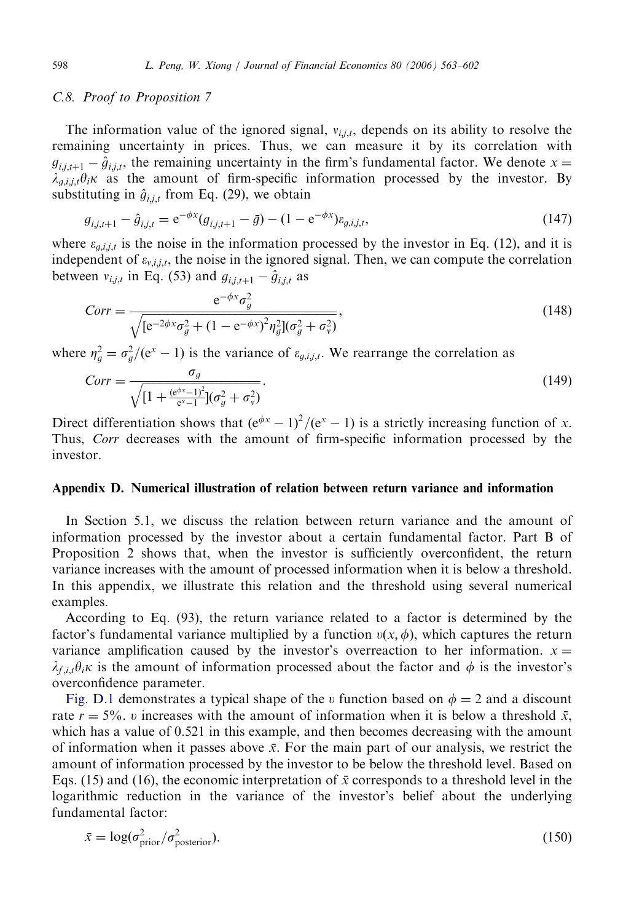## C.8. Proof to Proposition 7

The information value of the ignored signal,  $v_{i,i,t}$ , depends on its ability to resolve the remaining uncertainty in prices. Thus, we can measure it by its correlation with  $g_{i,i,t+1} - \hat{g}_{i,i,t}$ , the remaining uncertainty in the firm's fundamental factor. We denote  $x =$  $\lambda_{q,i,j,t} \theta_i \kappa$  as the amount of firm-specific information processed by the investor. By substituting in  $\hat{g}_{i,j,t}$  from Eq. (29), we obtain

$$
g_{i,j,t+1} - \hat{g}_{i,j,t} = e^{-\phi x} (g_{i,j,t+1} - \bar{g}) - (1 - e^{-\phi x}) \varepsilon_{g,i,j,t},
$$
\n(147)

where  $\varepsilon_{q,i,j,t}$  is the noise in the information processed by the investor in Eq. (12), and it is independent of  $\varepsilon_{v,i,j,t}$ , the noise in the ignored signal. Then, we can compute the correlation between  $v_{i,j,t}$  in Eq. (53) and  $g_{i,i,t+1} - \hat{g}_{i,i,t}$  as

$$
Corr = \frac{e^{-\phi x} \sigma_g^2}{\sqrt{[e^{-2\phi x} \sigma_g^2 + (1 - e^{-\phi x})^2 \eta_g^2](\sigma_g^2 + \sigma_v^2)}},
$$
\n(148)

where  $\eta_g^2 = \sigma_g^2/(\mathbf{e}^x - 1)$  is the variance of  $\varepsilon_{g,i,j,t}$ . We rearrange the correlation as

$$
Corr = \frac{\sigma_g}{\sqrt{[1 + \frac{(e^{\phi x} - 1)^2}{e^x - 1}](\sigma_g^2 + \sigma_v^2)}}.
$$
\n(149)

Direct differentiation shows that  $(e^{\phi x} - 1)^2/(e^x - 1)$  is a strictly increasing function of x. Thus, Corr decreases with the amount of firm-specific information processed by the investor.

## Appendix D. Numerical illustration of relation between return variance and information

In Section 5.1, we discuss the relation between return variance and the amount of information processed by the investor about a certain fundamental factor. Part B of Proposition 2 shows that, when the investor is sufficiently overconfident, the return variance increases with the amount of processed information when it is below a threshold. In this appendix, we illustrate this relation and the threshold using several numerical examples.

According to Eq. (93), the return variance related to a factor is determined by the factor's fundamental variance multiplied by a function  $v(x, \phi)$ , which captures the return variance amplification caused by the investor's overreaction to her information.  $x =$  $\lambda_{f,i,t}\theta_{i}$  is the amount of information processed about the factor and  $\phi$  is the investor's overconfidence parameter.

[Fig. D.1](#page-36-0) demonstrates a typical shape of the v function based on  $\phi = 2$  and a discount rate  $r = 5\%$ . v increases with the amount of information when it is below a threshold  $\bar{x}$ , which has a value of 0.521 in this example, and then becomes decreasing with the amount of information when it passes above  $\bar{x}$ . For the main part of our analysis, we restrict the amount of information processed by the investor to be below the threshold level. Based on Eqs. (15) and (16), the economic interpretation of  $\bar{x}$  corresponds to a threshold level in the logarithmic reduction in the variance of the investor's belief about the underlying fundamental factor:

$$
\bar{x} = \log(\sigma_{\text{prior}}^2 / \sigma_{\text{posterior}}^2). \tag{150}
$$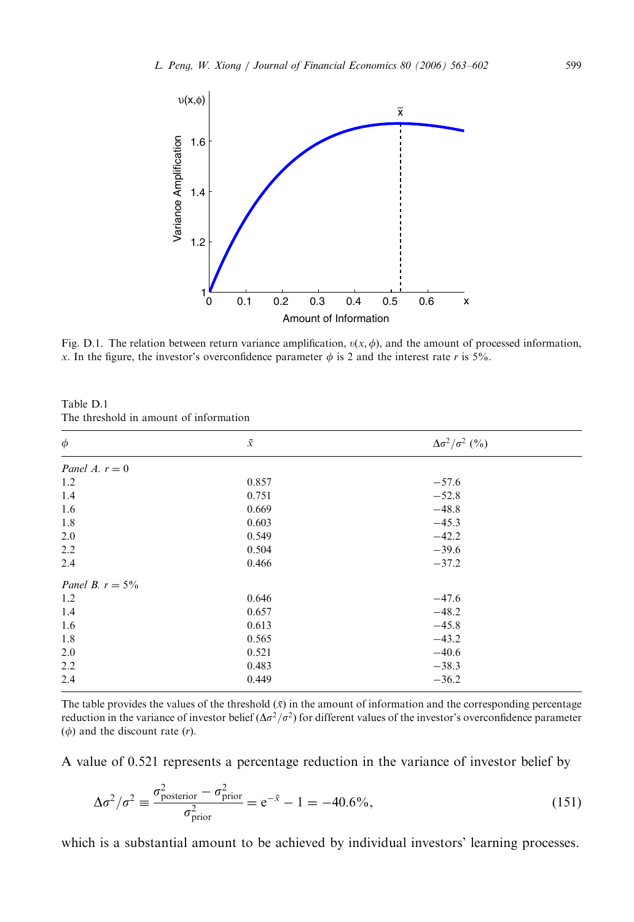<span id="page-36-0"></span>

Fig. D.1. The relation between return variance amplification,  $v(x, \phi)$ , and the amount of processed information, x. In the figure, the investor's overconfidence parameter  $\phi$  is 2 and the interest rate r is 5%.

Table D.1 The threshold in amount of information

| $\phi$             | $\bar{x}$ | $\Delta \sigma^2 / \sigma^2$ (%) |
|--------------------|-----------|----------------------------------|
| Panel A. $r = 0$   |           |                                  |
| 1.2                | 0.857     | $-57.6$                          |
| 1.4                | 0.751     | $-52.8$                          |
| 1.6                | 0.669     | $-48.8$                          |
| 1.8                | 0.603     | $-45.3$                          |
| 2.0                | 0.549     | $-42.2$                          |
| 2.2                | 0.504     | $-39.6$                          |
| 2.4                | 0.466     | $-37.2$                          |
| Panel B. $r = 5\%$ |           |                                  |
| 1.2                | 0.646     | $-47.6$                          |
| 1.4                | 0.657     | $-48.2$                          |
| 1.6                | 0.613     | $-45.8$                          |
| 1.8                | 0.565     | $-43.2$                          |
| 2.0                | 0.521     | $-40.6$                          |
| 2.2                | 0.483     | $-38.3$                          |
| 2.4                | 0.449     | $-36.2$                          |

The table provides the values of the threshold  $(\bar{x})$  in the amount of information and the corresponding percentage reduction in the variance of investor belief  $(\Delta \sigma^2/\sigma^2)$  for different values of the investor's overconfidence parameter  $(\phi)$  and the discount rate  $(r)$ .

A value of 0.521 represents a percentage reduction in the variance of investor belief by

$$
\Delta \sigma^2 / \sigma^2 \equiv \frac{\sigma_{\text{posterior}}^2 - \sigma_{\text{prior}}^2}{\sigma_{\text{prior}}^2} = e^{-\bar{x}} - 1 = -40.6\%,\tag{151}
$$

which is a substantial amount to be achieved by individual investors' learning processes.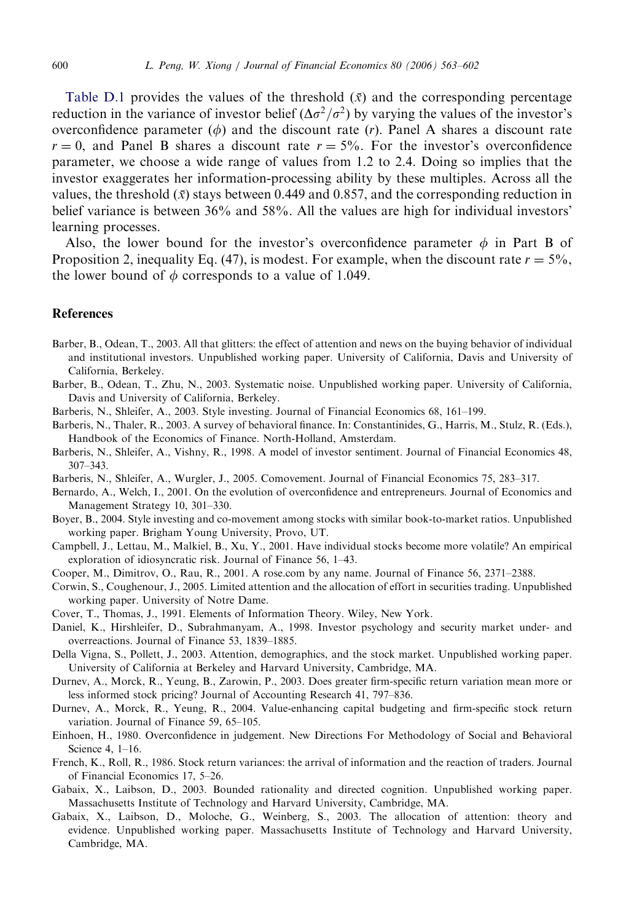<span id="page-37-0"></span>[Table D.1](#page-36-0) provides the values of the threshold  $(\bar{x})$  and the corresponding percentage reduction in the variance of investor belief  $(\Delta \sigma^2/\sigma^2)$  by varying the values of the investor's overconfidence parameter  $\phi$  and the discount rate  $\phi$ . Panel A shares a discount rate  $r = 0$ , and Panel B shares a discount rate  $r = 5\%$ . For the investor's overconfidence parameter, we choose a wide range of values from 1.2 to 2.4. Doing so implies that the investor exaggerates her information-processing ability by these multiples. Across all the values, the threshold  $\overline{x}$  stays between 0.449 and 0.857, and the corresponding reduction in belief variance is between 36% and 58%. All the values are high for individual investors' learning processes.

Also, the lower bound for the investor's overconfidence parameter  $\phi$  in Part B of Proposition 2, inequality Eq. (47), is modest. For example, when the discount rate  $r = 5\%$ , the lower bound of  $\phi$  corresponds to a value of 1.049.

#### **References**

- Barber, B., Odean, T., 2003. All that glitters: the effect of attention and news on the buying behavior of individual and institutional investors. Unpublished working paper. University of California, Davis and University of California, Berkeley.
- Barber, B., Odean, T., Zhu, N., 2003. Systematic noise. Unpublished working paper. University of California, Davis and University of California, Berkeley.
- Barberis, N., Shleifer, A., 2003. Style investing. Journal of Financial Economics 68, 161–199.
- Barberis, N., Thaler, R., 2003. A survey of behavioral finance. In: Constantinides, G., Harris, M., Stulz, R. (Eds.), Handbook of the Economics of Finance. North-Holland, Amsterdam.
- Barberis, N., Shleifer, A., Vishny, R., 1998. A model of investor sentiment. Journal of Financial Economics 48, 307–343.
- Barberis, N., Shleifer, A., Wurgler, J., 2005. Comovement. Journal of Financial Economics 75, 283–317.
- Bernardo, A., Welch, I., 2001. On the evolution of overconfidence and entrepreneurs. Journal of Economics and Management Strategy 10, 301–330.
- Boyer, B., 2004. Style investing and co-movement among stocks with similar book-to-market ratios. Unpublished working paper. Brigham Young University, Provo, UT.
- Campbell, J., Lettau, M., Malkiel, B., Xu, Y., 2001. Have individual stocks become more volatile? An empirical exploration of idiosyncratic risk. Journal of Finance 56, 1–43.
- Cooper, M., Dimitrov, O., Rau, R., 2001. A rose.com by any name. Journal of Finance 56, 2371–2388.
- Corwin, S., Coughenour, J., 2005. Limited attention and the allocation of effort in securities trading. Unpublished working paper. University of Notre Dame.
- Cover, T., Thomas, J., 1991. Elements of Information Theory. Wiley, New York.
- Daniel, K., Hirshleifer, D., Subrahmanyam, A., 1998. Investor psychology and security market under- and overreactions. Journal of Finance 53, 1839–1885.
- Della Vigna, S., Pollett, J., 2003. Attention, demographics, and the stock market. Unpublished working paper. University of California at Berkeley and Harvard University, Cambridge, MA.
- Durnev, A., Morck, R., Yeung, B., Zarowin, P., 2003. Does greater firm-specific return variation mean more or less informed stock pricing? Journal of Accounting Research 41, 797–836.
- Durnev, A., Morck, R., Yeung, R., 2004. Value-enhancing capital budgeting and firm-specific stock return variation. Journal of Finance 59, 65–105.
- Einhoen, H., 1980. Overconfidence in judgement. New Directions For Methodology of Social and Behavioral Science 4, 1–16.
- French, K., Roll, R., 1986. Stock return variances: the arrival of information and the reaction of traders. Journal of Financial Economics 17, 5–26.
- Gabaix, X., Laibson, D., 2003. Bounded rationality and directed cognition. Unpublished working paper. Massachusetts Institute of Technology and Harvard University, Cambridge, MA.
- Gabaix, X., Laibson, D., Moloche, G., Weinberg, S., 2003. The allocation of attention: theory and evidence. Unpublished working paper. Massachusetts Institute of Technology and Harvard University, Cambridge, MA.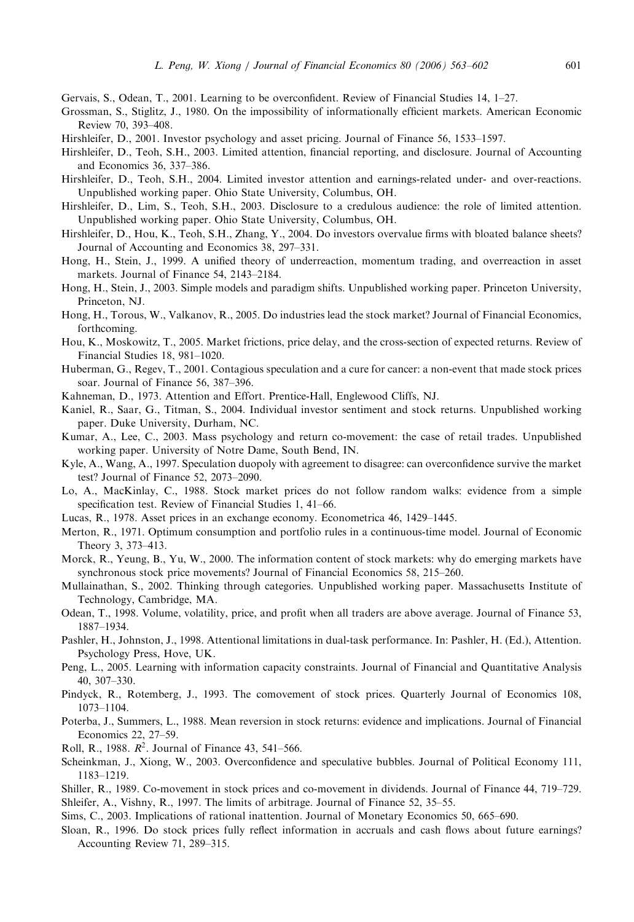- <span id="page-38-0"></span>Gervais, S., Odean, T., 2001. Learning to be overconfident. Review of Financial Studies 14, 1–27.
- Grossman, S., Stiglitz, J., 1980. On the impossibility of informationally efficient markets. American Economic Review 70, 393–408.
- Hirshleifer, D., 2001. Investor psychology and asset pricing. Journal of Finance 56, 1533–1597.
- Hirshleifer, D., Teoh, S.H., 2003. Limited attention, financial reporting, and disclosure. Journal of Accounting and Economics 36, 337–386.
- Hirshleifer, D., Teoh, S.H., 2004. Limited investor attention and earnings-related under- and over-reactions. Unpublished working paper. Ohio State University, Columbus, OH.
- Hirshleifer, D., Lim, S., Teoh, S.H., 2003. Disclosure to a credulous audience: the role of limited attention. Unpublished working paper. Ohio State University, Columbus, OH.
- Hirshleifer, D., Hou, K., Teoh, S.H., Zhang, Y., 2004. Do investors overvalue firms with bloated balance sheets? Journal of Accounting and Economics 38, 297–331.
- Hong, H., Stein, J., 1999. A unified theory of underreaction, momentum trading, and overreaction in asset markets. Journal of Finance 54, 2143–2184.
- Hong, H., Stein, J., 2003. Simple models and paradigm shifts. Unpublished working paper. Princeton University, Princeton, NJ.
- Hong, H., Torous, W., Valkanov, R., 2005. Do industries lead the stock market? Journal of Financial Economics, forthcoming.
- Hou, K., Moskowitz, T., 2005. Market frictions, price delay, and the cross-section of expected returns. Review of Financial Studies 18, 981–1020.
- Huberman, G., Regev, T., 2001. Contagious speculation and a cure for cancer: a non-event that made stock prices soar. Journal of Finance 56, 387–396.
- Kahneman, D., 1973. Attention and Effort. Prentice-Hall, Englewood Cliffs, NJ.
- Kaniel, R., Saar, G., Titman, S., 2004. Individual investor sentiment and stock returns. Unpublished working paper. Duke University, Durham, NC.
- Kumar, A., Lee, C., 2003. Mass psychology and return co-movement: the case of retail trades. Unpublished working paper. University of Notre Dame, South Bend, IN.
- Kyle, A., Wang, A., 1997. Speculation duopoly with agreement to disagree: can overconfidence survive the market test? Journal of Finance 52, 2073–2090.
- Lo, A., MacKinlay, C., 1988. Stock market prices do not follow random walks: evidence from a simple specification test. Review of Financial Studies 1, 41–66.
- Lucas, R., 1978. Asset prices in an exchange economy. Econometrica 46, 1429–1445.
- Merton, R., 1971. Optimum consumption and portfolio rules in a continuous-time model. Journal of Economic Theory 3, 373–413.
- Morck, R., Yeung, B., Yu, W., 2000. The information content of stock markets: why do emerging markets have synchronous stock price movements? Journal of Financial Economics 58, 215–260.
- Mullainathan, S., 2002. Thinking through categories. Unpublished working paper. Massachusetts Institute of Technology, Cambridge, MA.
- Odean, T., 1998. Volume, volatility, price, and profit when all traders are above average. Journal of Finance 53, 1887–1934.
- Pashler, H., Johnston, J., 1998. Attentional limitations in dual-task performance. In: Pashler, H. (Ed.), Attention. Psychology Press, Hove, UK.
- Peng, L., 2005. Learning with information capacity constraints. Journal of Financial and Quantitative Analysis 40, 307–330.
- Pindyck, R., Rotemberg, J., 1993. The comovement of stock prices. Quarterly Journal of Economics 108, 1073–1104.
- Poterba, J., Summers, L., 1988. Mean reversion in stock returns: evidence and implications. Journal of Financial Economics 22, 27–59.
- Roll, R., 1988.  $R^2$ . Journal of Finance 43, 541–566.
- Scheinkman, J., Xiong, W., 2003. Overconfidence and speculative bubbles. Journal of Political Economy 111, 1183–1219.
- Shiller, R., 1989. Co-movement in stock prices and co-movement in dividends. Journal of Finance 44, 719–729. Shleifer, A., Vishny, R., 1997. The limits of arbitrage. Journal of Finance 52, 35–55.
- Sims, C., 2003. Implications of rational inattention. Journal of Monetary Economics 50, 665–690.
- Sloan, R., 1996. Do stock prices fully reflect information in accruals and cash flows about future earnings? Accounting Review 71, 289–315.